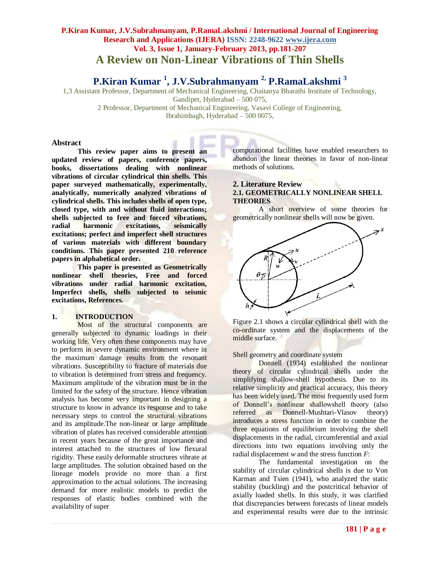# **P.Kiran Kumar, J.V.Subrahmanyam, P.RamaLakshmi / International Journal of Engineering Research and Applications (IJERA) ISSN: 2248-9622 www.ijera.com Vol. 3, Issue 1, January-February 2013, pp.181-207 A Review on Non-Linear Vibrations of Thin Shells**

**P.Kiran Kumar <sup>1</sup> , J.V.Subrahmanyam 2, P.RamaLakshmi <sup>3</sup>**

1,3 Assistant Professor, Department of Mechanical Engineering, Chaitanya Bharathi Institute of Technology,

2 Professor, Department of Mechanical Engineering, Vasavi College of Engineering,

Ibrahimbagh, Hyderabad – 500 0075,

#### **Abstract**

**This review paper aims to present an updated review of papers, conference papers, books, dissertations dealing with nonlinear vibrations of circular cylindrical thin shells. This paper surveyed mathematically, experimentally, analytically, numerically analyzed vibrations of cylindrical shells. This includes shells of open type, closed type, with and without fluid interactions; shells subjected to free and forced vibrations, radial radial harmonic excitations, seismically excitations; perfect and imperfect shell structures of various materials with different boundary conditions. This paper presented 210 reference papers in alphabetical order.** 

**This paper is presented as Geometrically nonlinear shell theories, Free and forced vibrations under radial harmonic excitation, Imperfect shells, shells subjected to seismic excitations, References.**

#### **1. INTRODUCTION**

Most of the structural components are generally subjected to dynamic loadings in their working life. Very often these components may have to perform in severe dynamic environment where in the maximum damage results from the resonant vibrations. Susceptibility to fracture of materials due to vibration is determined from stress and frequency. Maximum amplitude of the vibration must be in the limited for the safety of the structure. Hence vibration analysis has become very important in designing a structure to know in advance its response and to take necessary steps to control the structural vibrations and its amplitude.The non-linear or large amplitude vibration of plates has received considerable attention in recent years because of the great importance and interest attached to the structures of low flexural rigidity. These easily deformable structures vibrate at large amplitudes. The solution obtained based on the lineage models provide no more than a first approximation to the actual solutions. The increasing demand for more realistic models to predict the responses of elastic bodies combined with the availability of super

computational facilities have enabled researchers to abandon the linear theories in favor of non-linear methods of solutions.

#### **2. Literature Review 2.1. GEOMETRICALLY NONLINEAR SHELL THEORIES**

A short overview of some theories for geometrically nonlinear shells will now be given.



Figure 2.1 shows a circular cylindrical shell with the co-ordinate system and the displacements of the middle surface.

Shell geometry and coordinate system

Donnell (1934) established the nonlinear theory of circular cylindrical shells under the simplifying shallow-shell hypothesis. Due to its relative simplicity and practical accuracy, this theory has been widely used. The most frequently used form of Donnell"s nonlinear shallowshell theory (also referred as Donnell-Mushtari-Vlasov theory) introduces a stress function in order to combine the three equations of equilibrium involving the shell displacements in the radial, circumferential and axial directions into two equations involving only the radial displacement *w* and the stress function *F*:

The fundamental investigation on the stability of circular cylindrical shells is due to Von Karman and Tsien (1941), who analyzed the static stability (buckling) and the postcritical behavior of axially loaded shells. In this study, it was clarified that discrepancies between forecasts of linear models and experimental results were due to the intrinsic

Gandipet, Hyderabad – 500 075,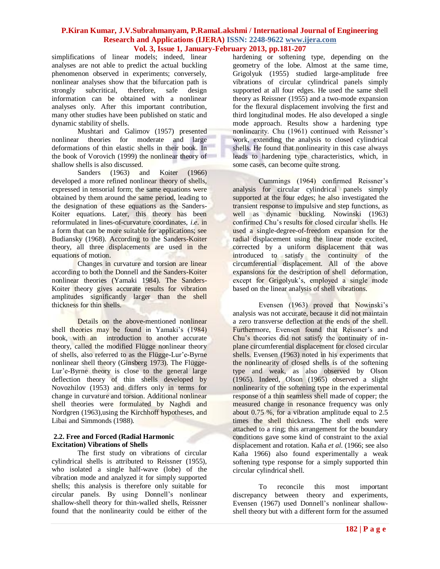simplifications of linear models; indeed, linear analyses are not able to predict the actual buckling phenomenon observed in experiments; conversely, nonlinear analyses show that the bifurcation path is strongly subcritical, therefore, safe design information can be obtained with a nonlinear analyses only. After this important contribution, many other studies have been published on static and dynamic stability of shells.

Mushtari and Galimov (1957) presented nonlinear theories for moderate and large deformations of thin elastic shells in their book. In the book of Vorovich (1999) the nonlinear theory of shallow shells is also discussed.

Sanders (1963) and Koiter (1966) developed a more refined nonlinear theory of shells, expressed in tensorial form; the same equations were obtained by them around the same period, leading to the designation of these equations as the Sanders-Koiter equations. Later, this theory has been reformulated in lines-of-curvature coordinates, *i*.*e*. in a form that can be more suitable for applications; see Budiansky (1968). According to the Sanders-Koiter theory, all three displacements are used in the equations of motion.

Changes in curvature and torsion are linear according to both the Donnell and the Sanders-Koiter nonlinear theories (Yamaki 1984). The Sanders-Koiter theory gives accurate results for vibration amplitudes significantly larger than the shell thickness for thin shells.

Details on the above-mentioned nonlinear shell theories may be found in Yamaki's (1984) book, with an introduction to another accurate theory, called the modified Flügge nonlinear theory of shells, also referred to as the Flügge-Lur"e-Byrne nonlinear shell theory (Ginsberg 1973). The Flügge-Lur'e-Byrne theory is close to the general large deflection theory of thin shells developed by Novozhilov (1953) and differs only in terms for change in curvature and torsion. Additional nonlinear shell theories were formulated by Naghdi and Nordgren (1963),using the Kirchhoff hypotheses, and Libai and Simmonds (1988).

#### **2.2. Free and Forced (Radial Harmonic Excitation) Vibrations of Shells**

The first study on vibrations of circular cylindrical shells is attributed to Reissner (1955), who isolated a single half-wave (lobe) of the vibration mode and analyzed it for simply supported shells; this analysis is therefore only suitable for circular panels. By using Donnell"s nonlinear shallow-shell theory for thin-walled shells, Reissner found that the nonlinearity could be either of the hardening or softening type, depending on the geometry of the lobe. Almost at the same time, Grigolyuk (1955) studied large-amplitude free vibrations of circular cylindrical panels simply supported at all four edges. He used the same shell theory as Reissner (1955) and a two-mode expansion for the flexural displacement involving the first and third longitudinal modes. He also developed a single mode approach. Results show a hardening type nonlinearity. Chu (1961) continued with Reissner's work, extending the analysis to closed cylindrical shells. He found that nonlinearity in this case always leads to hardening type characteristics, which, in some cases, can become quite strong.

Cummings (1964) confirmed Reissner's analysis for circular cylindrical panels simply supported at the four edges; he also investigated the transient response to impulsive and step functions, as well as dynamic buckling. Nowinski (1963) confirmed Chu"s results for closed circular shells. He used a single-degree-of-freedom expansion for the radial displacement using the linear mode excited, corrected by a uniform displacement that was introduced to satisfy the continuity of the circumferential displacement. All of the above expansions for the description of shell deformation, except for Grigolyuk's, employed a single mode based on the linear analysis of shell vibrations.

Evensen (1963) proved that Nowinski's analysis was not accurate, because it did not maintain a zero transverse deflection at the ends of the shell. Furthermore, Evensen found that Reissner's and Chu"s theories did not satisfy the continuity of inplane circumferential displacement for closed circular shells. Evensen (1963) noted in his experiments that the nonlinearity of closed shells is of the softening type and weak, as also observed by Olson (1965). Indeed, Olson (1965) observed a slight nonlinearity of the softening type in the experimental response of a thin seamless shell made of copper; the measured change in resonance frequency was only about 0.75 %, for a vibration amplitude equal to 2.5 times the shell thickness. The shell ends were attached to a ring; this arrangement for the boundary conditions gave some kind of constraint to the axial displacement and rotation. Kaña *et al*. (1966; see also Kaña 1966) also found experimentally a weak softening type response for a simply supported thin circular cylindrical shell.

To reconcile this most important discrepancy between theory and experiments, Evensen (1967) used Donnell"s nonlinear shallowshell theory but with a different form for the assumed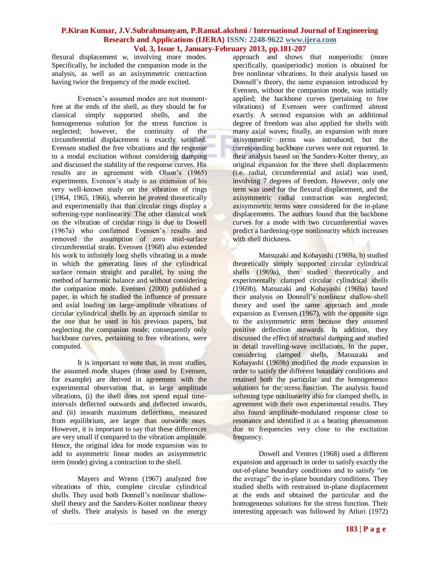flexural displacement *w*, involving more modes. Specifically, he included the companion mode in the analysis, as well as an axisymmetric contraction having twice the frequency of the mode excited.

Evensen"s assumed modes are not momentfree at the ends of the shell, as they should be for classical simply supported shells, and the homogeneous solution for the stress function is neglected; however, the continuity of the circumferential displacement is exactly satisfied. Evensen studied the free vibrations and the response to a modal excitation without considering damping and discussed the stability of the response curves. His results are in agreement with Olson"s (1965) experiments. Evensen's study is an extension of his very well-known study on the vibration of rings (1964, 1965, 1966), wherein he proved theoretically and experimentally that thin circular rings display a softening-type nonlinearity. The other classical work on the vibration of circular rings is due to Dowell (1967a) who confirmed Evensen"s results and removed the assumption of zero mid-surface circumferential strain. Evensen (1968) also extended his work to infinitely long shells vibrating in a mode in which the generating lines of the cylindrical surface remain straight and parallel, by using the method of harmonic balance and without considering the companion mode. Evensen (2000) published a paper, in which he studied the influence of pressure and axial loading on large-amplitude vibrations of circular cylindrical shells by an approach similar to the one that he used in his previous papers, but neglecting the companion mode; consequently only backbone curves, pertaining to free vibrations, were computed.

It is important to note that, in most studies, the assumed mode shapes (those used by Evensen, for example) are derived in agreement with the experimental observation that, in large amplitude vibrations, (i) the shell does not spend equal timeintervals deflected outwards and deflected inwards, and (ii) inwards maximum deflections, measured from equilibrium, are larger than outwards ones. However, it is important to say that these differences are very small if compared to the vibration amplitude. Hence, the original idea for mode expansion was to add to asymmetric linear modes an axisymmetric term (mode) giving a contraction to the shell.

Mayers and Wrenn (1967) analyzed free vibrations of thin, complete circular cylindrical shells. They used both Donnell"s nonlinear shallowshell theory and the Sanders-Koiter nonlinear theory of shells. Their analysis is based on the energy

approach and shows that nonperiodic (more specifically, quasiperiodic) motion is obtained for free nonlinear vibrations. In their analysis based on Donnell"s theory, the same expansion introduced by Evensen, without the companion mode, was initially applied; the backbone curves (pertaining to free vibrations) of Evensen were confirmed almost exactly. A second expansion with an additional degree of freedom was also applied for shells with many axial waves; finally, an expansion with more axisymmetric terms was introduced, but the corresponding backbone curves were not reported. In their analysis based on the Sanders-Koiter theory, an original expansion for the three shell displacements (i.e. radial, circumferential and axial) was used, involving 7 degrees of freedom. However, only one term was used for the flexural displacement, and the axisymmetric radial contraction was neglected; axisymmetric terms were considered for the in-plane displacements. The authors found that the backbone curves for a mode with two circumferential waves predict a hardening-type nonlinearity which increases with shell thickness.

Matsuzaki and Kobayashi (1969a, b) studied theoretically simply supported circular cylindrical shells (1969a), then studied theoretically and experimentally clamped circular cylindrical shells (1969b). Matsuzaki and Kobayashi (1969a) based their analysis on Donnell"s nonlinear shallow-shell theory and used the same approach and mode expansion as Evensen (1967), with the opposite sign to the axisymmetric term because they assumed positive deflection outwards. In addition, they discussed the effect of structural damping and studied in detail travelling-wave oscillations. In the paper, considering clamped shells, Matsuzaki and Kobayashi (1969b) modified the mode expansion in order to satisfy the different boundary conditions and retained both the particular and the homogeneous solutions for the stress function. The analysis found softening type nonlinearity also for clamped shells, in agreement with their own experimental results. They also found amplitude-modulated response close to resonance and identified it as a beating phenomenon due to frequencies very close to the excitation frequency.

Dowell and Ventres (1968) used a different expansion and approach in order to satisfy exactly the out-of-plane boundary conditions and to satisfy "on the average" the in-plane boundary conditions. They studied shells with restrained in-plane displacement at the ends and obtained the particular and the homogeneous solutions for the stress function. Their interesting approach was followed by Atluri (1972)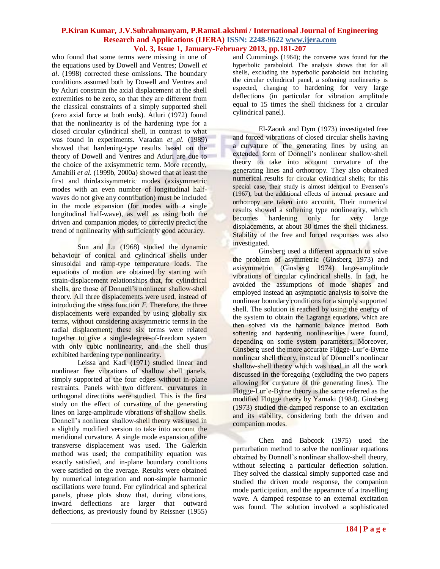who found that some terms were missing in one of the equations used by Dowell and Ventres; Dowell *et al*. (1998) corrected these omissions. The boundary conditions assumed both by Dowell and Ventres and by Atluri constrain the axial displacement at the shell extremities to be zero, so that they are different from the classical constraints of a simply supported shell (zero axial force at both ends). Atluri (1972) found that the nonlinearity is of the hardening type for a closed circular cylindrical shell, in contrast to what was found in experiments. Varadan *et al*. (1989) showed that hardening-type results based on the theory of Dowell and Ventres and Atluri are due to the choice of the axisymmetric term. More recently, Amabili *et al*. (1999b, 2000a) showed that at least the first and thirdaxisymmetric modes (axisymmetric modes with an even number of longitudinal halfwaves do not give any contribution) must be included in the mode expansion (for modes with a single longitudinal half-wave), as well as using both the driven and companion modes, to correctly predict the trend of nonlinearity with sufficiently good accuracy.

Sun and Lu (1968) studied the dynamic behaviour of conical and cylindrical shells under sinusoidal and ramp-type temperature loads. The equations of motion are obtained by starting with strain-displacement relationships that, for cylindrical shells, are those of Donnell"s nonlinear shallow-shell theory. All three displacements were used, instead of introducing the stress function *F*. Therefore, the three displacements were expanded by using globally six terms, without considering axisymmetric terms in the radial displacement; these six terms were related together to give a single-degree-of-freedom system with only cubic nonlinearity, and the shell thus exhibited hardening type nonlinearity.

Leissa and Kadi (1971) studied linear and nonlinear free vibrations of shallow shell panels, simply supported at the four edges without in-plane restraints. Panels with two different. curvatures in orthogonal directions were studied. This is the first study on the effect of curvature of the generating lines on large-amplitude vibrations of shallow shells. Donnell"s nonlinear shallow-shell theory was used in a slightly modified version to take into account the meridional curvature. A single mode expansion of the transverse displacement was used. The Galerkin method was used; the compatibility equation was exactly satisfied, and in-plane boundary conditions were satisfied on the average. Results were obtained by numerical integration and non-simple harmonic oscillations were found. For cylindrical and spherical panels, phase plots show that, during vibrations, inward deflections are larger that outward deflections, as previously found by Reissner (1955) and Cummings (1964); the converse was found for the hyperbolic paraboloid. The analysis shows that for all shells, excluding the hyperbolic paraboloid but including the circular cylindrical panel, a softening nonlinearity is expected, changing to hardening for very large deflections (in particular for vibration amplitude equal to 15 times the shell thickness for a circular cylindrical panel).

El-Zaouk and Dym (1973) investigated free and forced vibrations of closed circular shells having a curvature of the generating lines by using an extended form of Donnell"s nonlinear shallow-shell theory to take into account curvature of the generating lines and orthotropy. They also obtained numerical results for circular cylindrical shells; for this special case, their study is almost identical to Evensen's (1967), but the additional effects of internal pressure and orthotropy are taken into account. Their numerical results showed a softening type nonlinearity, which becomes hardening only for very large displacements, at about 30 times the shell thickness. Stability of the free and forced responses was also investigated.

Ginsberg used a different approach to solve the problem of asymmetric (Ginsberg 1973) and axisymmetric (Ginsberg 1974) large-amplitude vibrations of circular cylindrical shells. In fact, he avoided the assumptions of mode shapes and employed instead an asymptotic analysis to solve the nonlinear boundary conditions for a simply supported shell. The solution is reached by using the energy of the system to obtain the Lagrange equations, which are then solved via the harmonic balance method. Both softening and hardening nonlinearities were found, depending on some system parameters. Moreover, Ginsberg used the more accurate Flügge-Lur'e-Byrne nonlinear shell theory, instead of Donnell"s nonlinear shallow-shell theory which was used in all the work discussed in the foregoing (excluding the two papers allowing for curvature of the generating lines). The Flügge-Lur'e-Byrne theory is the same referred as the modified Flügge theory by Yamaki (1984). Ginsberg (1973) studied the damped response to an excitation and its stability, considering both the driven and companion modes.

Chen and Babcock (1975) used the perturbation method to solve the nonlinear equations obtained by Donnell"s nonlinear shallow-shell theory, without selecting a particular deflection solution. They solved the classical simply supported case and studied the driven mode response, the companion mode participation, and the appearance of a travelling wave. A damped response to an external excitation was found. The solution involved a sophisticated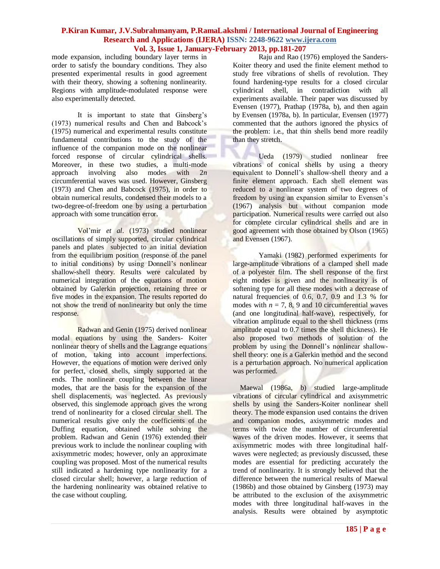mode expansion, including boundary layer terms in order to satisfy the boundary conditions. They also presented experimental results in good agreement with their theory, showing a softening nonlinearity. Regions with amplitude-modulated response were also experimentally detected.

It is important to state that Ginsberg's (1973) numerical results and Chen and Babcock"s (1975) numerical and experimental results constitute fundamental contributions to the study of the influence of the companion mode on the nonlinear forced response of circular cylindrical shells. Moreover, in these two studies, a multi-mode approach involving also modes with 2*n*  circumferential waves was used. However, Ginsberg (1973) and Chen and Babcock (1975), in order to obtain numerical results, condensed their models to a two-degree-of-freedom one by using a perturbation approach with some truncation error.

Vol"mir *et al*. (1973) studied nonlinear oscillations of simply supported, circular cylindrical panels and plates subjected to an initial deviation from the equilibrium position (response of the panel to initial conditions) by using Donnell's nonlinear shallow-shell theory. Results were calculated by numerical integration of the equations of motion obtained by Galerkin projection, retaining three or five modes in the expansion. The results reported do not show the trend of nonlinearity but only the time response.

Radwan and Genin (1975) derived nonlinear modal equations by using the Sanders- Koiter nonlinear theory of shells and the Lagrange equations of motion, taking into account imperfections. However, the equations of motion were derived only for perfect, closed shells, simply supported at the ends. The nonlinear coupling between the linear modes, that are the basis for the expansion of the shell displacements, was neglected. As previously observed, this singlemode approach gives the wrong trend of nonlinearity for a closed circular shell. The numerical results give only the coefficients of the Duffing equation, obtained while solving the problem. Radwan and Genin (1976) extended their previous work to include the nonlinear coupling with axisymmetric modes; however, only an approximate coupling was proposed. Most of the numerical results still indicated a hardening type nonlinearity for a closed circular shell; however, a large reduction of the hardening nonlinearity was obtained relative to the case without coupling.

Raju and Rao (1976) employed the Sanders-Koiter theory and used the finite element method to study free vibrations of shells of revolution. They found hardening-type results for a closed circular cylindrical shell, in contradiction with all experiments available. Their paper was discussed by Evensen (1977), Prathap (1978a, b), and then again by Evensen (1978a, b). In particular, Evensen (1977) commented that the authors ignored the physics of the problem: i.e., that thin shells bend more readily than they stretch.

Ueda (1979) studied nonlinear free vibrations of conical shells by using a theory equivalent to Donnell"s shallow-shell theory and a finite element approach. Each shell element was reduced to a nonlinear system of two degrees of freedom by using an expansion similar to Evensen's (1967) analysis but without companion mode participation. Numerical results were carried out also for complete circular cylindrical shells and are in good agreement with those obtained by Olson (1965) and Evensen (1967).

Yamaki (1982) performed experiments for large-amplitude vibrations of a clamped shell made of a polyester film. The shell response of the first eight modes is given and the nonlinearity is of softening type for all these modes with a decrease of natural frequencies of 0.6, 0.7, 0.9 and 1.3 % for modes with  $n = 7, 8, 9$  and 10 circumferential waves (and one longitudinal half-wave), respectively, for vibration amplitude equal to the shell thickness (rms amplitude equal to 0.7 times the shell thickness). He also proposed two methods of solution of the problem by using the Donnell"s nonlinear shallowshell theory: one is a Galerkin method and the second is a perturbation approach. No numerical application was performed.

 Maewal (1986a, b) studied large-amplitude vibrations of circular cylindrical and axisymmetric shells by using the Sanders-Koiter nonlinear shell theory. The mode expansion used contains the driven and companion modes, axisymmetric modes and terms with twice the number of circumferential waves of the driven modes. However, it seems that axisymmetric modes with three longitudinal halfwaves were neglected; as previously discussed, these modes are essential for predicting accurately the trend of nonlinearity. It is strongly believed that the difference between the numerical results of Maewal (1986b) and those obtained by Ginsberg (1973) may be attributed to the exclusion of the axisymmetric modes with three longitudinal half-waves in the analysis. Results were obtained by asymptotic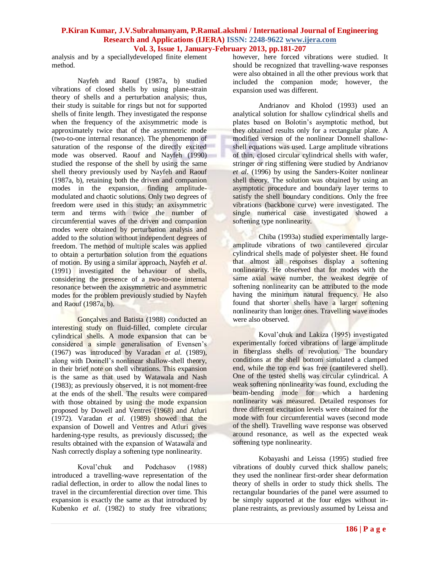analysis and by a speciallydeveloped finite element method.

Nayfeh and Raouf (1987a, b) studied vibrations of closed shells by using plane-strain theory of shells and a perturbation analysis; thus, their study is suitable for rings but not for supported shells of finite length. They investigated the response when the frequency of the axisymmetric mode is approximately twice that of the asymmetric mode (two-to-one internal resonance). The phenomenon of saturation of the response of the directly excited mode was observed. Raouf and Nayfeh (1990) studied the response of the shell by using the same shell theory previously used by Nayfeh and Raouf (1987a, b), retaining both the driven and companion modes in the expansion, finding amplitudemodulated and chaotic solutions. Only two degrees of freedom were used in this study; an axisymmetric term and terms with twice the number of circumferential waves of the driven and companion modes were obtained by perturbation analysis and added to the solution without independent degrees of freedom. The method of multiple scales was applied to obtain a perturbation solution from the equations of motion. By using a similar approach, Nayfeh *et al*. (1991) investigated the behaviour of shells, considering the presence of a two-to-one internal resonance between the axisymmetric and asymmetric modes for the problem previously studied by Nayfeh and Raouf (1987a, b).

Gonçalves and Batista (1988) conducted an interesting study on fluid-filled, complete circular cylindrical shells. A mode expansion that can be considered a simple generalisation of Evensen"s (1967) was introduced by Varadan *et al*. (1989), along with Donnell"s nonlinear shallow-shell theory, in their brief note on shell vibrations. This expansion is the same as that used by Watawala and Nash (1983); as previously observed, it is not moment-free at the ends of the shell. The results were compared with those obtained by using the mode expansion proposed by Dowell and Ventres (1968) and Atluri (1972). Varadan *et al*. (1989) showed that the expansion of Dowell and Ventres and Atluri gives hardening-type results, as previously discussed; the results obtained with the expansion of Watawala and Nash correctly display a softening type nonlinearity.

Koval"chuk and Podchasov (1988) introduced a travelling-wave representation of the radial deflection, in order to allow the nodal lines to travel in the circumferential direction over time. This expansion is exactly the same as that introduced by Kubenko *et al*. (1982) to study free vibrations;

however, here forced vibrations were studied. It should be recognized that travelling-wave responses were also obtained in all the other previous work that included the companion mode; however, the expansion used was different.

Andrianov and Kholod (1993) used an analytical solution for shallow cylindrical shells and plates based on Bolotin"s asymptotic method, but they obtained results only for a rectangular plate. A modified version of the nonlinear Donnell shallowshell equations was used. Large amplitude vibrations of thin, closed circular cylindrical shells with wafer, stringer or ring stiffening were studied by Andrianov *et al*. (1996) by using the Sanders-Koiter nonlinear shell theory. The solution was obtained by using an asymptotic procedure and boundary layer terms to satisfy the shell boundary conditions. Only the free vibrations (backbone curve) were investigated. The single numerical case investigated showed a softening type nonlinearity.

Chiba (1993a) studied experimentally largeamplitude vibrations of two cantilevered circular cylindrical shells made of polyester sheet. He found that almost all responses display a softening nonlinearity. He observed that for modes with the same axial wave number, the weakest degree of softening nonlinearity can be attributed to the mode having the minimum natural frequency. He also found that shorter shells have a larger softening nonlinearity than longer ones. Travelling wave modes were also observed.

Koval"chuk and Lakiza (1995) investigated experimentally forced vibrations of large amplitude in fiberglass shells of revolution. The boundary conditions at the shell bottom simulated a clamped end, while the top end was free (cantilevered shell). One of the tested shells was circular cylindrical. A weak softening nonlinearity was found, excluding the beam-bending mode for which a hardening nonlinearity was measured. Detailed responses for three different excitation levels were obtained for the mode with four circumferential waves (second mode of the shell). Travelling wave response was observed around resonance, as well as the expected weak softening type nonlinearity.

Kobayashi and Leissa (1995) studied free vibrations of doubly curved thick shallow panels; they used the nonlinear first-order shear deformation theory of shells in order to study thick shells. The rectangular boundaries of the panel were assumed to be simply supported at the four edges without inplane restraints, as previously assumed by Leissa and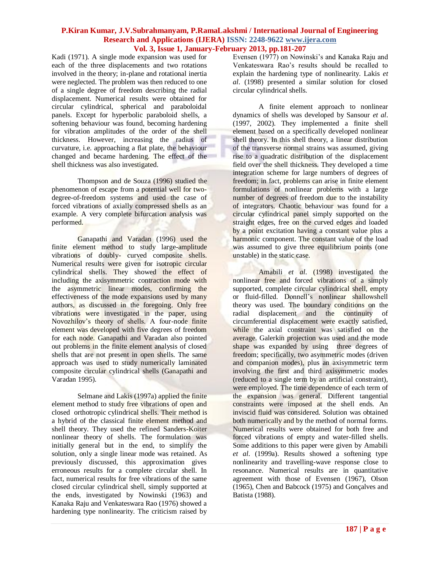Kadi (1971). A single mode expansion was used for each of the three displacements and two rotations involved in the theory; in-plane and rotational inertia were neglected. The problem was then reduced to one of a single degree of freedom describing the radial displacement. Numerical results were obtained for circular cylindrical, spherical and paraboloidal panels. Except for hyperbolic paraboloid shells, a softening behaviour was found, becoming hardening for vibration amplitudes of the order of the shell thickness. However, increasing the radius of curvature, i.e. approaching a flat plate, the behaviour changed and became hardening. The effect of the shell thickness was also investigated.

Thompson and de Souza (1996) studied the phenomenon of escape from a potential well for twodegree-of-freedom systems and used the case of forced vibrations of axially compressed shells as an example. A very complete bifurcation analysis was performed.

Ganapathi and Varadan (1996) used the finite element method to study large-amplitude vibrations of doubly- curved composite shells. Numerical results were given for isotropic circular cylindrical shells. They showed the effect of including the axisymmetric contraction mode with the asymmetric linear modes, confirming the effectiveness of the mode expansions used by many authors, as discussed in the foregoing. Only free vibrations were investigated in the paper, using Novozhilov"s theory of shells. A four-node finite element was developed with five degrees of freedom for each node. Ganapathi and Varadan also pointed out problems in the finite element analysis of closed shells that are not present in open shells. The same approach was used to study numerically laminated composite circular cylindrical shells (Ganapathi and Varadan 1995).

Selmane and Lakis (1997a) applied the finite element method to study free vibrations of open and closed orthotropic cylindrical shells. Their method is a hybrid of the classical finite element method and shell theory. They used the refined Sanders-Koiter nonlinear theory of shells. The formulation was initially general but in the end, to simplify the solution, only a single linear mode was retained. As previously discussed, this approximation gives erroneous results for a complete circular shell. In fact, numerical results for free vibrations of the same closed circular cylindrical shell, simply supported at the ends, investigated by Nowinski (1963) and Kanaka Raju and Venkateswara Rao (1976) showed a hardening type nonlinearity. The criticism raised by

Evensen (1977) on Nowinski's and Kanaka Raju and Venkateswara Rao"s results should be recalled to explain the hardening type of nonlinearity. Lakis *et al*. (1998) presented a similar solution for closed circular cylindrical shells.

A finite element approach to nonlinear dynamics of shells was developed by Sansour *et al*. (1997, 2002). They implemented a finite shell element based on a specifically developed nonlinear shell theory. In this shell theory, a linear distribution of the transverse normal strains was assumed, giving rise to a quadratic distribution of the displacement field over the shell thickness. They developed a time integration scheme for large numbers of degrees of freedom; in fact, problems can arise in finite element formulations of nonlinear problems with a large number of degrees of freedom due to the instability of integrators. Chaotic behaviour was found for a circular cylindrical panel simply supported on the straight edges, free on the curved edges and loaded by a point excitation having a constant value plus a harmonic component. The constant value of the load was assumed to give three equilibrium points (one unstable) in the static case.

Amabili *et al*. (1998) investigated the nonlinear free and forced vibrations of a simply supported, complete circular cylindrical shell, empty or fluid-filled. Donnell"s nonlinear shallowshell theory was used. The boundary conditions on the radial displacement and the continuity of circumferential displacement were exactly satisfied, while the axial constraint was satisfied on the average. Galerkin projection was used and the mode shape was expanded by using three degrees of freedom; specifically, two asymmetric modes (driven and companion modes), plus an axisymmetric term involving the first and third axisymmetric modes (reduced to a single term by an artificial constraint), were employed. The time dependence of each term of the expansion was general. Different tangential constraints were imposed at the shell ends. An inviscid fluid was considered. Solution was obtained both numerically and by the method of normal forms. Numerical results were obtained for both free and forced vibrations of empty and water-filled shells. Some additions to this paper were given by Amabili *et al*. (1999a). Results showed a softening type nonlinearity and travelling-wave response close to resonance. Numerical results are in quantitative agreement with those of Evensen (1967), Olson (1965), Chen and Babcock (1975) and Gonçalves and Batista (1988).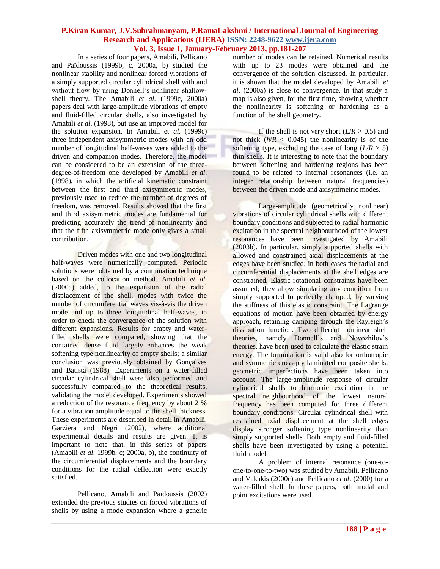In a series of four papers, Amabili, Pellicano and Païdoussis (1999b, c, 2000a, b) studied the nonlinear stability and nonlinear forced vibrations of a simply supported circular cylindrical shell with and without flow by using Donnell's nonlinear shallowshell theory. The Amabili *et al*. (1999c, 2000a) papers deal with large-amplitude vibrations of empty and fluid-filled circular shells, also investigated by Amabili *et al*. (1998), but use an improved model for the solution expansion. In Amabili et *al*. (1999c) three independent axisymmetric modes with an odd number of longitudinal half-waves were added to the driven and companion modes. Therefore, the model can be considered to be an extension of the threedegree-of-freedom one developed by Amabili *et al*. (1998), in which the artificial kinematic constraint between the first and third axisymmetric modes, previously used to reduce the number of degrees of freedom, was removed. Results showed that the first and third axisymmetric modes are fundamental for predicting accurately the trend of nonlinearity and that the fifth axisymmetric mode only gives a small contribution.

Driven modes with one and two longitudinal half-waves were numerically computed. Periodic solutions were obtained by a continuation technique based on the collocation method. Amabili *et al*. (2000a) added, to the expansion of the radial displacement of the shell, modes with twice the number of circumferential waves vis-à-vis the driven mode and up to three longitudinal half-waves, in order to check the convergence of the solution with different expansions. Results for empty and waterfilled shells were compared, showing that the contained dense fluid largely enhances the weak softening type nonlinearity of empty shells; a similar conclusion was previously obtained by Gonçalves and Batista (1988). Experiments on a water-filled circular cylindrical shell were also performed and successfully compared to the theoretical results, validating the model developed. Experiments showed a reduction of the resonance frequency by about 2 % for a vibration amplitude equal to the shell thickness. These experiments are described in detail in Amabili, Garziera and Negri (2002), where additional experimental details and results are given. It is important to note that, in this series of papers (Amabili *et al*. 1999b, c; 2000a, b), the continuity of the circumferential displacements and the boundary conditions for the radial deflection were exactly satisfied.

Pellicano, Amabili and Païdoussis (2002) extended the previous studies on forced vibrations of shells by using a mode expansion where a generic

number of modes can be retained. Numerical results with up to 23 modes were obtained and the convergence of the solution discussed. In particular, it is shown that the model developed by Amabili *et al*. (2000a) is close to convergence. In that study a map is also given, for the first time, showing whether the nonlinearity is softening or hardening as a function of the shell geometry.

If the shell is not very short  $(L/R > 0.5)$  and not thick  $(h/R < 0.045)$  the nonlinearity is of the softening type, excluding the case of long  $(L/R > 5)$ thin shells. It is interesting to note that the boundary between softening and hardening regions has been found to be related to internal resonances (i.e. an integer relationship between natural frequencies) between the driven mode and axisymmetric modes.

Large-amplitude (geometrically nonlinear) vibrations of circular cylindrical shells with different boundary conditions and subjected to radial harmonic excitation in the spectral neighbourhood of the lowest resonances have been investigated by Amabili (2003b). In particular, simply supported shells with allowed and constrained axial displacements at the edges have been studied; in both cases the radial and circumferential displacements at the shell edges are constrained. Elastic rotational constraints have been assumed; they allow simulating any condition from simply supported to perfectly clamped, by varying the stiffness of this elastic constraint. The Lagrange equations of motion have been obtained by energy approach, retaining damping through the Rayleigh"s dissipation function. Two different nonlinear shell theories, namely Donnell's and Novozhilov's theories, have been used to calculate the elastic strain energy. The formulation is valid also for orthotropic and symmetric cross-ply laminated composite shells; geometric imperfections have been taken into account. The large-amplitude response of circular cylindrical shells to harmonic excitation in the spectral neighbourhood of the lowest natural frequency has been computed for three different boundary conditions. Circular cylindrical shell with restrained axial displacement at the shell edges display stronger softening type nonlinearity than simply supported shells. Both empty and fluid-filled shells have been investigated by using a potential fluid model.

A problem of internal resonance (one-toone-to-one-to-two) was studied by Amabili, Pellicano and Vakakis (2000c) and Pellicano *et al*. (2000) for a water-filled shell. In these papers, both modal and point excitations were used.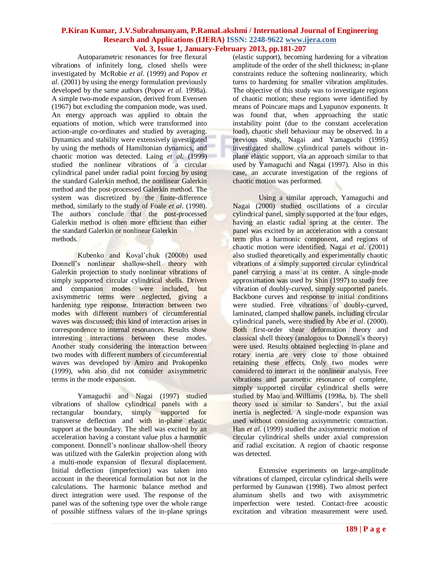Autoparametric resonances for free flexural vibrations of infinitely long, closed shells were investigated by McRobie *et al*. (1999) and Popov *et al*. (2001) by using the energy formulation previously developed by the same authors (Popov *et al*. 1998a). A simple two-mode expansion, derived from Evensen (1967) but excluding the companion mode, was used. An energy approach was applied to obtain the equations of motion, which were transformed into action-angle co-ordinates and studied by averaging. Dynamics and stability were extensively investigated by using the methods of Hamiltonian dynamics, and chaotic motion was detected. Laing *et al*. (1999) studied the nonlinear vibrations of a circular cylindrical panel under radial point forcing by using the standard Galerkin method, the nonlinear Galerkin method and the post-processed Galerkin method. The system was discretized by the finite-difference method, similarly to the study of Foale *et al*. (1998). The authors conclude that the post-processed Galerkin method is often more efficient than either the standard Galerkin or nonlinear Galerkin methods.

Kubenko and Koval"chuk (2000b) used Donnell's nonlinear shallow-shell theory with Galerkin projection to study nonlinear vibrations of simply supported circular cylindrical shells. Driven and companion modes were included, but axisymmetric terms were neglected, giving a hardening type response. Interaction between two modes with different numbers of circumferential waves was discussed; this kind of interaction arises in correspondence to internal resonances. Results show interesting interactions between these modes. Another study considering the interaction between two modes with different numbers of circumferential waves was developed by Amiro and Prokopenko (1999), who also did not consider axisymmetric terms in the mode expansion.

Yamaguchi and Nagai (1997) studied vibrations of shallow cylindrical panels with a rectangular boundary, simply supported for transverse deflection and with in-plane elastic support at the boundary. The shell was excited by an acceleration having a constant value plus a harmonic component. Donnell"s nonlinear shallow-shell theory was utilized with the Galerkin projection along with a multi-mode expansion of flexural displacement. Initial deflection (imperfection) was taken into account in the theoretical formulation but not in the calculations. The harmonic balance method and direct integration were used. The response of the panel was of the softening type over the whole range of possible stiffness values of the in-plane springs

(elastic support), becoming hardening for a vibration amplitude of the order of the shell thickness; in-plane constraints reduce the softening nonlinearity, which turns to hardening for smaller vibration amplitudes. The objective of this study was to investigate regions of chaotic motion; these regions were identified by means of Poincare maps and Lyapunov exponents. It was found that, when approaching the static instability point (due to the constant acceleration load), chaotic shell behaviour may be observed. In a previous study, Nagai and Yamaguchi (1995) investigated shallow cylindrical panels without inplane elastic support, via an approach similar to that used by Yamaguchi and Nagai (1997). Also in this case, an accurate investigation of the regions of chaotic motion was performed.

Using a similar approach, Yamaguchi and Nagai (2000) studied oscillations of a circular cylindrical panel, simply supported at the four edges, having an elastic radial spring at the center. The panel was excited by an acceleration with a constant term plus a harmonic component, and regions of chaotic motion were identified. Nagai *et al*. (2001) also studied theoretically and experimentally chaotic vibrations of a simply supported circular cylindrical panel carrying a mass at its center. A single-mode approximation was used by Shin (1997) to study free vibration of doubly-curved, simply supported panels. Backbone curves and response to initial conditions were studied. Free vibrations of doubly-curved, laminated, clamped shallow panels, including circular cylindrical panels, were studied by Abe *et al*. (2000). Both first-order shear deformation theory and classical shell theory (analogous to Donnell"s theory) were used. Results obtained neglecting in-plane and rotary inertia are very close to those obtained retaining these effects. Only two modes were considered to interact in the nonlinear analysis. Free vibrations and parametric resonance of complete, simply supported circular cylindrical shells were studied by Mao and Williams (1998a, b). The shell theory used is similar to Sanders', but the axial inertia is neglected. A single-mode expansion was used without considering axisymmetric contraction. Han *et al*. (1999) studied the axisymmetric motion of circular cylindrical shells under axial compression and radial excitation. A region of chaotic response was detected.

Extensive experiments on large-amplitude vibrations of clamped, circular cylindrical shells were performed by Gunawan (1998). Two almost perfect aluminum shells and two with axisymmetric imperfection were tested. Contact-free acoustic excitation and vibration measurement were used.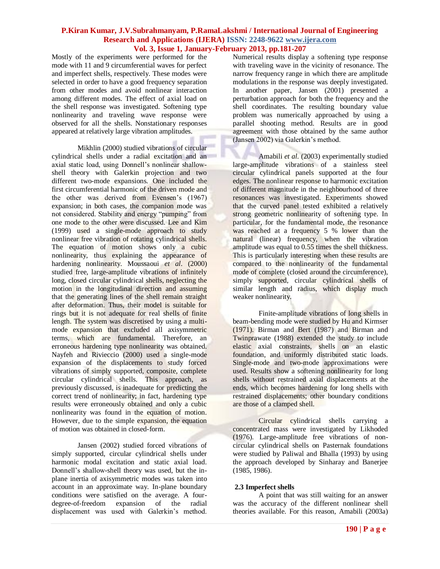Mostly of the experiments were performed for the mode with 11 and 9 circumferential waves for perfect and imperfect shells, respectively. These modes were selected in order to have a good frequency separation from other modes and avoid nonlinear interaction among different modes. The effect of axial load on the shell response was investigated. Softening type nonlinearity and traveling wave response were observed for all the shells. Nonstationary responses appeared at relatively large vibration amplitudes.

Mikhlin (2000) studied vibrations of circular cylindrical shells under a radial excitation and an axial static load, using Donnell"s nonlinear shallowshell theory with Galerkin projection and two different two-mode expansions. One included the first circumferential harmonic of the driven mode and the other was derived from Evensen's (1967) expansion; in both cases, the companion mode was not considered. Stability and energy "pumping" from one mode to the other were discussed. Lee and Kim (1999) used a single-mode approach to study nonlinear free vibration of rotating cylindrical shells. The equation of motion shows only a cubic nonlinearity, thus explaining the appearance of hardening nonlinearity. Moussaoui *et al*. (2000) studied free, large-amplitude vibrations of infinitely long, closed circular cylindrical shells, neglecting the motion in the longitudinal direction and assuming that the generating lines of the shell remain straight after deformation. Thus, their model is suitable for rings but it is not adequate for real shells of finite length. The system was discretised by using a multimode expansion that excluded all axisymmetric terms, which are fundamental. Therefore, an erroneous hardening type nonlinearity was obtained. Nayfeh and Rivieccio (2000) used a single-mode expansion of the displacements to study forced vibrations of simply supported, composite, complete circular cylindrical shells. This approach, as previously discussed, is inadequate for predicting the correct trend of nonlinearity; in fact, hardening type results were erroneously obtained and only a cubic nonlinearity was found in the equation of motion. However, due to the simple expansion, the equation of motion was obtained in closed-form.

Jansen (2002) studied forced vibrations of simply supported, circular cylindrical shells under harmonic modal excitation and static axial load. Donnell"s shallow-shell theory was used, but the inplane inertia of axisymmetric modes was taken into account in an approximate way. In-plane boundary conditions were satisfied on the average. A fourdegree-of-freedom expansion of the radial displacement was used with Galerkin"s method.

Numerical results display a softening type response with traveling wave in the vicinity of resonance. The narrow frequency range in which there are amplitude modulations in the response was deeply investigated. In another paper, Jansen (2001) presented a perturbation approach for both the frequency and the shell coordinates. The resulting boundary value problem was numerically approached by using a parallel shooting method. Results are in good agreement with those obtained by the same author (Jansen 2002) via Galerkin"s method.

Amabili *et al*. (2003) experimentally studied large-amplitude vibrations of a stainless steel circular cylindrical panels supported at the four edges. The nonlinear response to harmonic excitation of different magnitude in the neighbourhood of three resonances was investigated. Experiments showed that the curved panel tested exhibited a relatively strong geometric nonlinearity of softening type. In particular, for the fundamental mode, the resonance was reached at a frequency 5 % lower than the natural (linear) frequency, when the vibration amplitude was equal to 0.55 times the shell thickness. This is particularly interesting when these results are compared to the nonlinearity of the fundamental mode of complete (closed around the circumference), simply supported, circular cylindrical shells of similar length and radius, which display much weaker nonlinearity.

Finite-amplitude vibrations of long shells in beam-bending mode were studied by Hu and Kirmser (1971). Birman and Bert (1987) and Birman and Twinprawate (1988) extended the study to include elastic axial constraints, shells on an elastic foundation, and uniformly distributed static loads. Single-mode and two-mode approximations were used. Results show a softening nonlinearity for long shells without restrained axial displacements at the ends, which becomes hardening for long shells with restrained displacements; other boundary conditions are those of a clamped shell.

Circular cylindrical shells carrying a concentrated mass were investigated by Likhoded (1976). Large-amplitude free vibrations of noncircular cylindrical shells on Pasternak foundations were studied by Paliwal and Bhalla (1993) by using the approach developed by Sinharay and Banerjee (1985, 1986).

#### **2.3 Imperfect shells**

A point that was still waiting for an answer was the accuracy of the different nonlinear shell theories available. For this reason, Amabili (2003a)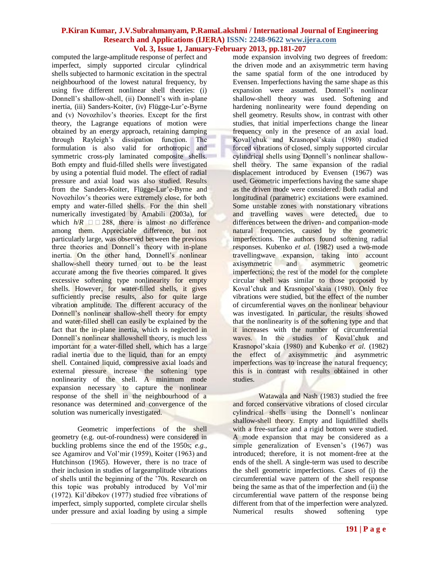computed the large-amplitude response of perfect and imperfect, simply supported circular cylindrical shells subjected to harmonic excitation in the spectral neighbourhood of the lowest natural frequency, by using five different nonlinear shell theories: (i) Donnell"s shallow-shell, (ii) Donnell"s with in-plane inertia, (iii) Sanders-Koiter, (iv) Flügge-Lur'e-Byrne and (v) Novozhilov"s theories. Except for the first theory, the Lagrange equations of motion were obtained by an energy approach, retaining damping through Rayleigh"s dissipation function. The formulation is also valid for orthotropic and symmetric cross-ply laminated composite shells. Both empty and fluid-filled shells were investigated by using a potential fluid model. The effect of radial pressure and axial load was also studied. Results from the Sanders-Koiter, Flügge-Lur'e-Byrne and Novozhilov"s theories were extremely close, for both empty and water-filled shells. For the thin shell numerically investigated by Amabili (2003a), for which  $h/R \Box 288$ , there is almost no difference among them. Appreciable difference, but not particularly large, was observed between the previous three theories and Donnell"s theory with in-plane inertia. On the other hand, Donnell"s nonlinear shallow-shell theory turned out to be the least accurate among the five theories compared. It gives excessive softening type nonlinearity for empty shells. However, for water-filled shells, it gives sufficiently precise results, also for quite large vibration amplitude. The different accuracy of the Donnell's nonlinear shallow-shell theory for empty and water-filled shell can easily be explained by the fact that the in-plane inertia, which is neglected in Donnell"s nonlinear shallowshell theory, is much less important for a water-filled shell, which has a large radial inertia due to the liquid, than for an empty shell. Contained liquid, compressive axial loads and external pressure increase the softening type nonlinearity of the shell. A minimum mode expansion necessary to capture the nonlinear response of the shell in the neighbourhood of a resonance was determined and convergence of the solution was numerically investigated.

Geometric imperfections of the shell geometry (e.g. out-of-roundness) were considered in buckling problems since the end of the 1950s; *e*.*g*., see Agamirov and Vol"mir (1959), Koiter (1963) and Hutchinson (1965). However, there is no trace of their inclusion in studies of largeamplitude vibrations of shells until the beginning of the "70s. Research on this topic was probably introduced by Vol"mir (1972). Kil"dibekov (1977) studied free vibrations of imperfect, simply supported, complete circular shells under pressure and axial loading by using a simple

mode expansion involving two degrees of freedom: the driven mode and an axisymmetric term having the same spatial form of the one introduced by Evensen. Imperfections having the same shape as this expansion were assumed. Donnell"s nonlinear shallow-shell theory was used. Softening and hardening nonlinearity were found depending on shell geometry. Results show, in contrast with other studies, that initial imperfections change the linear frequency only in the presence of an axial load. Koval"chuk and Krasnopol"skaia (1980) studied forced vibrations of closed, simply supported circular cylindrical shells using Donnell"s nonlinear shallowshell theory. The same expansion of the radial displacement introduced by Evensen (1967) was used. Geometric imperfections having the same shape as the driven mode were considered. Both radial and longitudinal (parametric) excitations were examined. Some unstable zones with nonstationary vibrations and travelling waves were detected, due to differences between the driven- and companion-mode natural frequencies, caused by the geometric imperfections. The authors found softening radial responses. Kubenko *et al*. (1982) used a two-mode travellingwave expansion, taking into account axisymmetric and asymmetric geometric imperfections; the rest of the model for the complete circular shell was similar to those proposed by Koval"chuk and Krasnopol"skaia (1980). Only free vibrations were studied, but the effect of the number of circumferential waves on the nonlinear behaviour was investigated. In particular, the results showed that the nonlinearity is of the softening type and that it increases with the number of circumferential waves. In the studies of Koval'chuk and Krasnopol"skaia (1980) and Kubenko *et al*. (1982) the effect of axisymmetric and asymmetric imperfections was to increase the natural frequency; this is in contrast with results obtained in other studies.

Watawala and Nash (1983) studied the free and forced conservative vibrations of closed circular cylindrical shells using the Donnell"s nonlinear shallow-shell theory. Empty and liquidfilled shells with a free-surface and a rigid bottom were studied. A mode expansion that may be considered as a simple generalization of Evensen's (1967) was introduced; therefore, it is not moment-free at the ends of the shell. A single-term was used to describe the shell geometric imperfections. Cases of (i) the circumferential wave pattern of the shell response being the same as that of the imperfection and (ii) the circumferential wave pattern of the response being different from that of the imperfection were analyzed. Numerical results showed softening type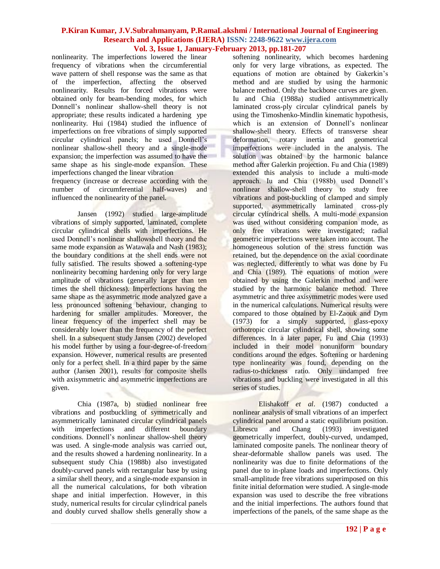nonlinearity. The imperfections lowered the linear frequency of vibrations when the circumferential wave pattern of shell response was the same as that of the imperfection, affecting the observed nonlinearity. Results for forced vibrations were obtained only for beam-bending modes, for which Donnell"s nonlinear shallow-shell theory is not appropriate; these results indicated a hardening ype nonlinearity. Hui (1984) studied the influence of imperfections on free vibrations of simply supported circular cylindrical panels; he used Donnell"s nonlinear shallow-shell theory and a single-mode expansion; the imperfection was assumed to have the same shape as his single-mode expansion. These imperfections changed the linear vibration

frequency (increase or decrease according with the number of circumferential half-waves) and influenced the nonlinearity of the panel.

Jansen (1992) studied large-amplitude vibrations of simply supported, laminated, complete circular cylindrical shells with imperfections. He used Donnell"s nonlinear shallowshell theory and the same mode expansion as Watawala and Nash (1983); the boundary conditions at the shell ends were not fully satisfied. The results showed a softening-type nonlinearity becoming hardening only for very large amplitude of vibrations (generally larger than ten times the shell thickness). Imperfections having the same shape as the asymmetric mode analyzed gave a less pronounced softening behaviour, changing to hardening for smaller amplitudes. Moreover, the linear frequency of the imperfect shell may be considerably lower than the frequency of the perfect shell. In a subsequent study Jansen (2002) developed his model further by using a four-degree-of-freedom expansion. However, numerical results are presented only for a perfect shell. In a third paper by the same author (Jansen 2001), results for composite shells with axisymmetric and asymmetric imperfections are given.

Chia (1987a, b) studied nonlinear free vibrations and postbuckling of symmetrically and asymmetrically laminated circular cylindrical panels with imperfections and different boundary conditions. Donnell"s nonlinear shallow-shell theory was used. A single-mode analysis was carried out, and the results showed a hardening nonlinearity. In a subsequent study Chia (1988b) also investigated doubly-curved panels with rectangular base by using a similar shell theory, and a single-mode expansion in all the numerical calculations, for both vibration shape and initial imperfection. However, in this study, numerical results for circular cylindrical panels and doubly curved shallow shells generally show a

softening nonlinearity, which becomes hardening only for very large vibrations, as expected. The equations of motion are obtained by Gakerkin"s method and are studied by using the harmonic balance method. Only the backbone curves are given. Iu and Chia (1988a) studied antisymmetrically laminated cross-ply circular cylindrical panels by using the Timoshenko-Mindlin kinematic hypothesis, which is an extension of Donnell's nonlinear shallow-shell theory. Effects of transverse shear deformation, rotary inertia and geometrical imperfections were included in the analysis. The solution was obtained by the harmonic balance method after Galerkin projection. Fu and Chia (1989) extended this analysis to include a multi-mode approach. Iu and Chia (1988b) used Donnell's nonlinear shallow-shell theory to study free vibrations and post-buckling of clamped and simply supported, asymmetrically laminated cross-ply circular cylindrical shells. A multi-mode expansion was used without considering companion mode, as only free vibrations were investigated; radial geometric imperfections were taken into account. The homogeneous solution of the stress function was retained, but the dependence on the axial coordinate was neglected, differently to what was done by Fu and Chia (1989). The equations of motion were obtained by using the Galerkin method and were studied by the harmonic balance method. Three asymmetric and three axisymmetric modes were used in the numerical calculations. Numerical results were compared to those obtained by El-Zaouk and Dym (1973) for a simply supported, glass-epoxy orthotropic circular cylindrical shell, showing some differences. In a later paper, Fu and Chia (1993) included in their model nonuniform boundary conditions around the edges. Softening or hardening type nonlinearity was found, depending on the radius-to-thickness ratio. Only undamped free vibrations and buckling were investigated in all this series of studies.

Elishakoff *et al*. (1987) conducted a nonlinear analysis of small vibrations of an imperfect cylindrical panel around a static equilibrium position. Librescu and Chang (1993) investigated geometrically imperfect, doubly-curved, undamped, laminated composite panels. The nonlinear theory of shear-deformable shallow panels was used. The nonlinearity was due to finite deformations of the panel due to in-plane loads and imperfections. Only small-amplitude free vibrations superimposed on this finite initial deformation were studied. A single-mode expansion was used to describe the free vibrations and the initial imperfections. The authors found that imperfections of the panels, of the same shape as the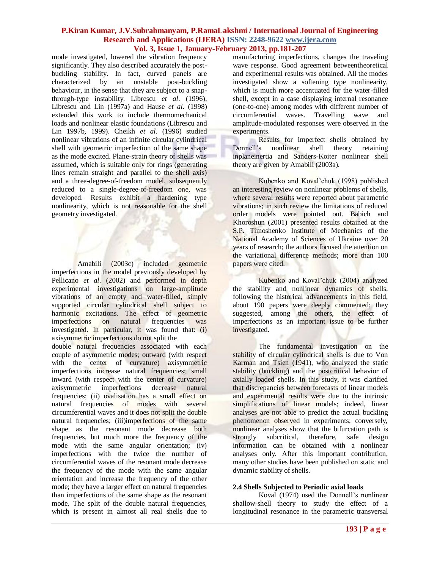mode investigated, lowered the vibration frequency significantly. They also described accurately the postbuckling stability. In fact, curved panels are characterized by an unstable post-buckling behaviour, in the sense that they are subject to a snapthrough-type instability. Librescu *et al*. (1996), Librescu and Lin (1997a) and Hause *et al*. (1998) extended this work to include thermomechanical loads and nonlinear elastic foundations (Librescu and Lin 1997b, 1999). Cheikh *et al*. (1996) studied nonlinear vibrations of an infinite circular cylindrical shell with geometric imperfection of the same shape as the mode excited. Plane-strain theory of shells was assumed, which is suitable only for rings (generating lines remain straight and parallel to the shell axis) and a three-degree-of-freedom model, subsequently reduced to a single-degree-of-freedom one, was developed. Results exhibit a hardening type nonlinearity, which is not reasonable for the shell geometry investigated.

Amabili (2003c) included geometric imperfections in the model previously developed by Pellicano *et al*. (2002) and performed in depth experimental investigations on large-amplitude vibrations of an empty and water-filled, simply supported circular cylindrical shell subject to harmonic excitations. The effect of geometric imperfections on natural frequencies was investigated. In particular, it was found that: (i) axisymmetric imperfections do not split the double natural frequencies associated with each couple of asymmetric modes; outward (with respect with the center of curvature) axisymmetric imperfections increase natural frequencies; small inward (with respect with the center of curvature) axisymmetric imperfections decrease natural frequencies; (ii) ovalisation has a small effect on natural frequencies of modes with several

circumferential waves and it does not split the double natural frequencies; (iii)imperfections of the same shape as the resonant mode decrease both frequencies, but much more the frequency of the mode with the same angular orientation; (iv) imperfections with the twice the number of circumferential waves of the resonant mode decrease the frequency of the mode with the same angular orientation and increase the frequency of the other mode; they have a larger effect on natural frequencies than imperfections of the same shape as the resonant mode. The split of the double natural frequencies, which is present in almost all real shells due to

manufacturing imperfections, changes the traveling wave response. Good agreement betweentheoretical and experimental results was obtained. All the modes investigated show a softening type nonlinearity, which is much more accentuated for the water-filled shell, except in a case displaying internal resonance (one-to-one) among modes with different number of circumferential waves. Travelling wave and amplitude-modulated responses were observed in the experiments.

Results for imperfect shells obtained by Donnell"s nonlinear shell theory retaining inplaneinertia and Sanders-Koiter nonlinear shell theory are given by Amabili (2003a).

Kubenko and Koval"chuk (1998) published an interesting review on nonlinear problems of shells, where several results were reported about parametric vibrations; in such review the limitations of reduced order models were pointed out. Babich and Khoroshun (2001) presented results obtained at the S.P. Timoshenko Institute of Mechanics of the National Academy of Sciences of Ukraine over 20 years of research; the authors focused the attention on the variational–difference methods; more than 100 papers were cited.

Kubenko and Koval"chuk (2004) analyzed the stability and nonlinear dynamics of shells, following the historical advancements in this field, about 190 papers were deeply commented; they suggested, among the others, the effect of imperfections as an important issue to be further investigated.

The fundamental investigation on the stability of circular cylindrical shells is due to Von Karman and Tsien (1941), who analyzed the static stability (buckling) and the postcritical behavior of axially loaded shells. In this study, it was clarified that discrepancies between forecasts of linear models and experimental results were due to the intrinsic simplifications of linear models; indeed, linear analyses are not able to predict the actual buckling phenomenon observed in experiments; conversely, nonlinear analyses show that the bifurcation path is strongly subcritical, therefore, safe design information can be obtained with a nonlinear analyses only. After this important contribution, many other studies have been published on static and dynamic stability of shells.

#### **2.4 Shells Subjected to Periodic axial loads**

Koval (1974) used the Donnell"s nonlinear shallow-shell theory to study the effect of a longitudinal resonance in the parametric transversal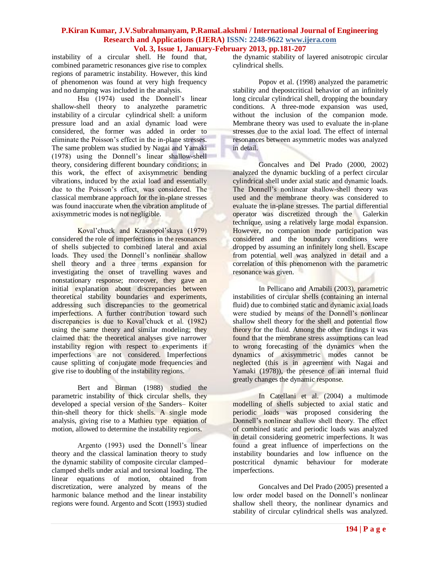instability of a circular shell. He found that, combined parametric resonances give rise to complex regions of parametric instability. However, this kind of phenomenon was found at very high frequency and no damping was included in the analysis.

Hsu (1974) used the Donnell's linear shallow-shell theory to analyzethe parametric instability of a circular cylindrical shell: a uniform pressure load and an axial dynamic load were considered, the former was added in order to eliminate the Poisson"s effect in the in-plane stresses. The same problem was studied by Nagai and Yamaki (1978) using the Donnell"s linear shallow-shell theory, considering different boundary conditions; in this work, the effect of axisymmetric bending vibrations, induced by the axial load and essentially due to the Poisson"s effect, was considered. The classical membrane approach for the in-plane stresses was found inaccurate when the vibration amplitude of axisymmetric modes is not negligible.

Koval"chuck and Krasnopol"skaya (1979) considered the role of imperfections in the resonances of shells subjected to combined lateral and axial loads. They used the Donnell's nonlinear shallow shell theory and a three terms expansion for investigating the onset of travelling waves and nonstationary response; moreover, they gave an initial explanation about discrepancies between theoretical stability boundaries and experiments, addressing such discrepancies to the geometrical imperfections. A further contribution toward such discrepancies is due to Koval'chuck et al. (1982) using the same theory and similar modeling; they claimed that: the theoretical analyses give narrower instability region with respect to experiments if imperfections are not considered. Imperfections cause splitting of conjugate mode frequencies and give rise to doubling of the instability regions.

Bert and Birman (1988) studied the parametric instability of thick circular shells, they developed a special version of the Sanders– Koiter thin-shell theory for thick shells. A single mode analysis, giving rise to a Mathieu type equation of motion, allowed to determine the instability regions.

Argento (1993) used the Donnell"s linear theory and the classical lamination theory to study the dynamic stability of composite circular clamped– clamped shells under axial and torsional loading. The linear equations of motion, obtained from discretization, were analyzed by means of the harmonic balance method and the linear instability regions were found. Argento and Scott (1993) studied the dynamic stability of layered anisotropic circular cylindrical shells.

Popov et al. (1998) analyzed the parametric stability and thepostcritical behavior of an infinitely long circular cylindrical shell, dropping the boundary conditions. A three-mode expansion was used, without the inclusion of the companion mode. Membrane theory was used to evaluate the in-plane stresses due to the axial load. The effect of internal resonances between asymmetric modes was analyzed in detail.

Goncalves and Del Prado (2000, 2002) analyzed the dynamic buckling of a perfect circular cylindrical shell under axial static and dynamic loads. The Donnell"s nonlinear shallow-shell theory was used and the membrane theory was considered to evaluate the in-plane stresses. The partial differential operator was discretized through the Galerkin technique, using a relatively large modal expansion. However, no companion mode participation was considered and the boundary conditions were dropped by assuming an infinitely long shell. Escape from potential well was analyzed in detail and a correlation of this phenomenon with the parametric resonance was given.

In Pellicano and Amabili (2003), parametric instabilities of circular shells (containing an internal fluid) due to combined static and dynamic axial loads were studied by means of the Donnell's nonlinear shallow shell theory for the shell and potential flow theory for the fluid. Among the other findings it was found that the membrane stress assumptions can lead to wrong forecasting of the dynamics when the dynamics of axisymmetric modes cannot be neglected (this is in agreement with Nagai and Yamaki (1978)), the presence of an internal fluid greatly changes the dynamic response.

In Catellani et al. (2004) a multimode modelling of shells subjected to axial static and periodic loads was proposed considering the Donnell"s nonlinear shallow shell theory. The effect of combined static and periodic loads was analyzed in detail considering geometric imperfections. It was found a great influence of imperfections on the instability boundaries and low influence on the postcritical dynamic behaviour for moderate imperfections.

Goncalves and Del Prado (2005) presented a low order model based on the Donnell"s nonlinear shallow shell theory, the nonlinear dynamics and stability of circular cylindrical shells was analyzed.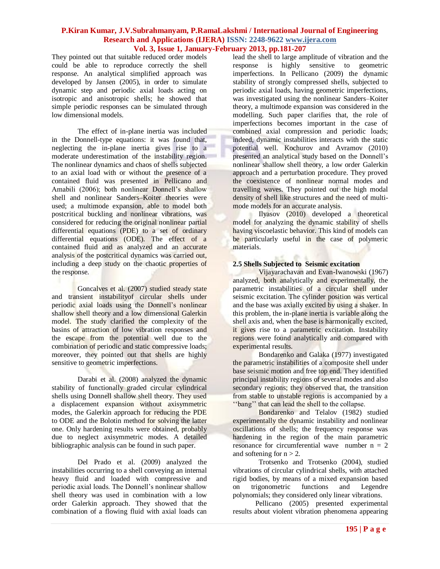They pointed out that suitable reduced order models could be able to reproduce correctly the shell response. An analytical simplified approach was developed by Jansen (2005), in order to simulate dynamic step and periodic axial loads acting on isotropic and anisotropic shells; he showed that simple periodic responses can be simulated through low dimensional models.

The effect of in-plane inertia was included in the Donnell-type equations: it was found that, neglecting the in-plane inertia gives rise to a moderate underestimation of the instability region. The nonlinear dynamics and chaos of shells subjected to an axial load with or without the presence of a contained fluid was presented in Pellicano and Amabili (2006); both nonlinear Donnell's shallow shell and nonlinear Sanders–Koiter theories were used; a multimode expansion, able to model both postcritical buckling and nonlinear vibrations, was considered for reducing the original nonlinear partial differential equations (PDE) to a set of ordinary differential equations (ODE). The effect of a contained fluid and as analyzed and an accurate analysis of the postcritical dynamics was carried out, including a deep study on the chaotic properties of the response.

Goncalves et al. (2007) studied steady state and transient instabilityof circular shells under periodic axial loads using the Donnell"s nonlinear shallow shell theory and a low dimensional Galerkin model. The study clarified the complexity of the basins of attraction of low vibration responses and the escape from the potential well due to the combination of periodic and static compressive loads; moreover, they pointed out that shells are highly sensitive to geometric imperfections.

Darabi et al. (2008) analyzed the dynamic stability of functionally graded circular cylindrical shells using Donnell shallow shell theory. They used a displacement expansion without axisymmetric modes, the Galerkin approach for reducing the PDE to ODE and the Bolotin method for solving the latter one. Only hardening results were obtained, probably due to neglect axisymmetric modes. A detailed bibliographic analysis can be found in such paper.

Del Prado et al. (2009) analyzed the instabilities occurring to a shell conveying an internal heavy fluid and loaded with compressive and periodic axial loads. The Donnell"s nonlinear shallow shell theory was used in combination with a low order Galerkin approach. They showed that the combination of a flowing fluid with axial loads can

lead the shell to large amplitude of vibration and the response is highly sensitive to geometric imperfections. In Pellicano (2009) the dynamic stability of strongly compressed shells, subjected to periodic axial loads, having geometric imperfections, was investigated using the nonlinear Sanders–Koiter theory, a multimode expansion was considered in the modelling. Such paper clarifies that, the role of imperfections becomes important in the case of combined axial compression and periodic loads; indeed, dynamic instabilities interacts with the static potential well. Kochurov and Avramov (2010) presented an analytical study based on the Donnell"s nonlinear shallow shell theory, a low order Galerkin approach and a perturbation procedure. They proved the coexistence of nonlinear normal modes and travelling waves. They pointed out the high modal density of shell like structures and the need of multimode models for an accurate analysis.

Ilyasov (2010) developed a theoretical model for analyzing the dynamic stability of shells having viscoelastic behavior. This kind of models can be particularly useful in the case of polymeric materials.

# **2.5 Shells Subjected to Seismic excitation**

Vijayarachavan and Evan-Iwanowski (1967) analyzed, both analytically and experimentally, the parametric instabilities of a circular shell under seismic excitation. The cylinder position was vertical and the base was axially excited by using a shaker. In this problem, the in-plane inertia is variable along the shell axis and, when the base is harmonically excited, it gives rise to a parametric excitation. Instability regions were found analytically and compared with experimental results.

Bondarenko and Galaka (1977) investigated the parametric instabilities of a composite shell under base seismic motion and free top end. They identified principal instability regions of several modes and also secondary regions; they observed that, the transition from stable to unstable regions is accompanied by a "bang" that can lead the shell to the collapse.

Bondarenko and Telalov (1982) studied experimentally the dynamic instability and nonlinear oscillations of shells; the frequency response was hardening in the region of the main parametric resonance for circumferential wave number  $n = 2$ and softening for  $n > 2$ .

Trotsenko and Trotsenko (2004), studied vibrations of circular cylindrical shells, with attached rigid bodies, by means of a mixed expansion based on trigonometric functions and Legendre polynomials; they considered only linear vibrations.

Pellicano (2005) presented experimental results about violent vibration phenomena appearing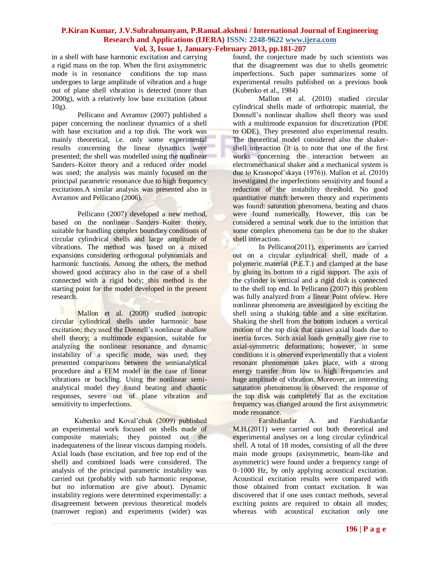in a shell with base harmonic excitation and carrying a rigid mass on the top. When the first axisymmetric mode is in resonance conditions the top mass undergoes to large amplitude of vibration and a huge out of plane shell vibration is detected (more than 2000g), with a relatively low base excitation (about 10g).

Pellicano and Avramov (2007) published a paper concerning the nonlinear dynamics of a shell with base excitation and a top disk. The work was mainly theoretical, i.e. only some experimental results concerning the linear dynamics were presented; the shell was modelled using the nonlinear Sanders–Koiter theory and a reduced order model was used; the analysis was mainly focused on the principal parametric resonance due to high frequency excitations.A similar analysis was presented also in Avramov and Pellicano (2006).

Pellicano (2007) developed a new method, based on the nonlinear Sanders–Koiter theory, suitable for handling complex boundary conditions of circular cylindrical shells and large amplitude of vibrations. The method was based on a mixed expansions considering orthogonal polynomials and harmonic functions. Among the others, the method showed good accuracy also in the case of a shell connected with a rigid body; this method is the starting point for the model developed in the present research.

Mallon et al. (2008) studied isotropic circular cylindrical shells under harmonic base excitation; they used the Donnell's nonlinear shallow shell theory; a multimode expansion, suitable for analyzing the nonlinear resonance and dynamic instability of a specific mode, was used; they presented comparisons between the semianalytical procedure and a FEM model in the case of linear vibrations or buckling. Using the nonlinear semianalytical model they found beating and chaotic responses, severe out of plane vibration and sensitivity to imperfections.

Kubenko and Koval"chuk (2009) published an experimental work focused on shells made of composite materials; they pointed out the inadequateness of the linear viscous damping models. Axial loads (base excitation, and free top end of the shell) and combined loads were considered. The analysis of the principal parametric instability was carried out (probably with sub harmonic response, but no information are give about). Dynamic instability regions were determined experimentally: a disagreement between previous theoretical models (narrower region) and experiments (wider) was

found, the conjecture made by such scientists was that the disagreement was due to shells geometric imperfections. Such paper summarizes some of experimental results published on a previous book (Kubenko et al., 1984)

Mallon et al. (2010) studied circular cylindrical shells made of orthotropic material, the Donnell"s nonlinear shallow shell theory was used with a multimode expansion for discretization (PDE to ODE). They presented also experimental results. The theoretical model considered also the shakershell interaction (it is to note that one of the first works concerning the interaction between an electromechanical shaker and a mechanical system is due to Krasnopol"skaya (1976)). Mallon et al. (2010) investigated the imperfections sensitivity and found a reduction of the instability threshold. No good quantitative match between theory and experiments was found: saturation phenomena, beating and chaos were found numerically. However, this can be considered a seminal work due to the intuition that some complex phenomena can be due to the shaker shell interaction.

In Pellicano(2011), experiments are carried out on a circular cylindrical shell, made of a polymeric material (P.E.T.) and clamped at the base by gluing its bottom to a rigid support. The axis of the cylinder is vertical and a rigid disk is connected to the shell top end. In Pellicano (2007) this problem was fully analyzed from a linear Point ofview. Here nonlinear phenomena are investigated by exciting the shell using a shaking table and a sine excitation. Shaking the shell from the bottom induces a vertical motion of the top disk that causes axial loads due to inertia forces. Such axial loads generally give rise to axial-symmetric deformations; however, in some conditions it is observed experimentally that a violent resonant phenomenon takes place, with a strong energy transfer from low to high frequencies and huge amplitude of vibration. Moreover, an interesting saturation phenomenon is observed: the response of the top disk was completely flat as the excitation frequency was changed around the first axisymmetric mode resonance.

Farshidianfar A. and Farshidianfar M.H.(2011) were carried out both theoretical and experimental analyses on a long circular cylindrical shell. A total of 18 modes, consisting of all the three main mode groups (axisymmetric, beam-like and asymmetric) were found under a frequency range of 0–1000 Hz, by only applying acoustical excitation. Acoustical excitation results were compared with those obtained from contact excitation. It was discovered that if one uses contact methods, several exciting points are required to obtain all modes; whereas with acoustical excitation only one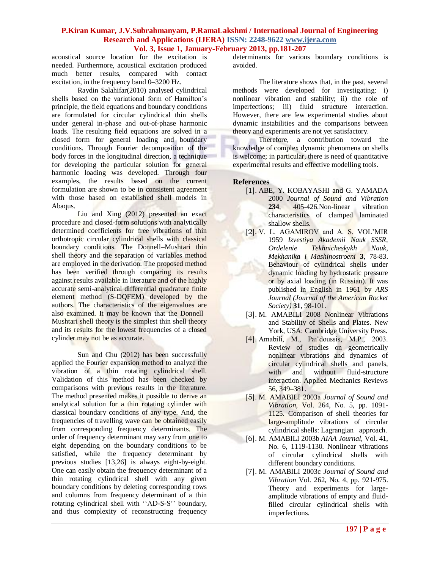acoustical source location for the excitation is needed. Furthermore, acoustical excitation produced much better results, compared with contact excitation, in the frequency band 0–3200 Hz.

Raydin Salahifar(2010) analysed cylindrical shells based on the variational form of Hamilton's principle, the field equations and boundary conditions are formulated for circular cylindrical thin shells under general in-phase and out-of-phase harmonic loads. The resulting field equations are solved in a closed form for general loading and boundary conditions. Through Fourier decomposition of the body forces in the longitudinal direction, a technique for developing the particular solution for general harmonic loading was developed. Through four examples, the results based on the current formulation are shown to be in consistent agreement with those based on established shell models in Abaqus.

Liu and Xing (2012) presented an exact procedure and closed-form solutions with analytically determined coefficients for free vibrations of thin orthotropic circular cylindrical shells with classical boundary conditions. The Donnell–Mushtari thin shell theory and the separation of variables method are employed in the derivation. The proposed method has been verified through comparing its results against results available in literature and of the highly accurate semi-analytical differential quadrature finite element method (S-DQFEM) developed by the authors. The characteristics of the eigenvalues are also examined. It may be known that the Donnell– Mushtari shell theory is the simplest thin shell theory and its results for the lowest frequencies of a closed cylinder may not be as accurate.

Sun and Chu (2012) has been successfully applied the Fourier expansion method to analyze the vibration of a thin rotating cylindrical shell. Validation of this method has been checked by comparisons with previous results in the literature. The method presented makes it possible to derive an analytical solution for a thin rotating cylinder with classical boundary conditions of any type. And, the frequencies of travelling wave can be obtained easily from corresponding frequency determinants. The order of frequency determinant may vary from one to eight depending on the boundary conditions to be satisfied, while the frequency determinant by previous studies [13,26] is always eight-by-eight. One can easily obtain the frequency determinant of a thin rotating cylindrical shell with any given boundary conditions by deleting corresponding rows and columns from frequency determinant of a thin rotating cylindrical shell with "AD-S-S" boundary, and thus complexity of reconstructing frequency

determinants for various boundary conditions is avoided.

The literature shows that, in the past, several methods were developed for investigating: i) nonlinear vibration and stability; ii) the role of imperfections; iii) fluid structure interaction. However, there are few experimental studies about dynamic instabilities and the comparisons between theory and experiments are not yet satisfactory.

Therefore, a contribution toward the knowledge of complex dynamic phenomena on shells is welcome; in particular, there is need of quantitative experimental results and effective modelling tools.

#### **References**

- [1]. ABE, Y. KOBAYASHI and G. YAMADA 2000 *Journal of Sound and Vibration*  **234**, 405-426.Non-linear vibration characteristics of clamped laminated shallow shells.
- [2]. V. L. AGAMIROV and A. S. VOL"MIR 1959 *Izvestiya Akademii Nauk SSSR, Ordelenie Tekhnicheskykh Nauk, Mekhanika i Mashinostroeni* **3**, 78-83. Behaviour of cylindrical shells under dynamic loading by hydrostatic pressure or by axial loading (in Russian). It was published in English in 1961 by *ARS Journal (Journal of the American Rocket Society)* **31**, 98-101.
- [3]. M. AMABILI 2008 Nonlinear Vibrations and Stability of Shells and Plates. New York, USA: Cambridge University Press.
- [4]. Amabili, M., Paı¨doussis, M.P., 2003. Review of studies on geometrically nonlinear vibrations and dynamics of circular cylindrical shells and panels, with and without fluid-structure interaction. Applied Mechanics Reviews 56, 349–381.
- [5]. M. AMABILI 2003a *Journal of Sound and Vibration*, Vol. 264, No. 5, pp. 1091- 1125. Comparison of shell theories for large-amplitude vibrations of circular cylindrical shells: Lagrangian approach.
- [6]. M. AMABILI 2003b *AIAA Journal,* Vol. 41, No. 6, 1119-1130. Nonlinear vibrations of circular cylindrical shells with different boundary conditions.
- [7]. M. AMABILI 2003c *Journal of Sound and Vibration* Vol. 262, No. 4, pp. 921-975. Theory and experiments for largeamplitude vibrations of empty and fluidfilled circular cylindrical shells with imperfections.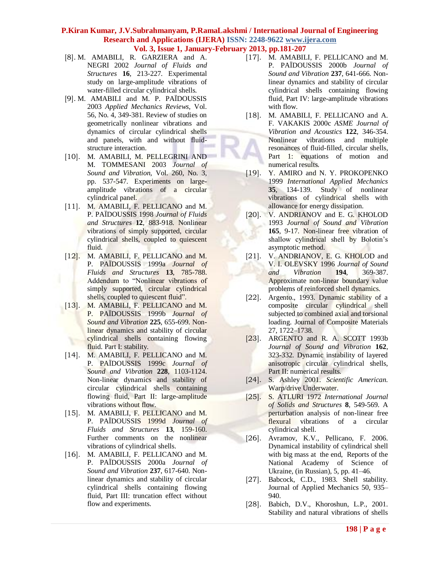- [8]. M. AMABILI, R. GARZIERA and A. NEGRI 2002 *Journal of Fluids and Structures* **16**, 213-227. Experimental study on large-amplitude vibrations of water-filled circular cylindrical shells.
- [9]. M. AMABILI and M. P. PAÏDOUSSIS 2003 *Applied Mechanics Reviews*, Vol. 56, No. 4, 349-381. Review of studies on geometrically nonlinear vibrations and dynamics of circular cylindrical shells and panels, with and without fluidstructure interaction.
- [10]. M. AMABILI, M. PELLEGRINI AND M. TOMMESANI 2003 *Journal of Sound and Vibration*, Vol. 260, No. 3, pp. 537-547. Experiments on largeamplitude vibrations of a circular cylindrical panel.
- [11]. M. AMABILI, F. PELLICANO and M. P. PAÏDOUSSIS 1998 *Journal of Fluids and Structures* **12**, 883-918. Nonlinear vibrations of simply supported, circular cylindrical shells, coupled to quiescent fluid.
- [12]. M. AMABILI, F. PELLICANO and M. P. PAÏDOUSSIS 1999a *Journal of Fluids and Structures* **13**, 785-788. Addendum to "Nonlinear vibrations of simply supported, circular cylindrical shells, coupled to quiescent fluid".
- [13]. M. AMABILI, F. PELLICANO and M. P. PAÏDOUSSIS 1999b *Journal of Sound and Vibration* **225**, 655-699. Nonlinear dynamics and stability of circular cylindrical shells containing flowing fluid. Part I: stability.
- [14]. M. AMABILI, F. PELLICANO and M. P. PAÏDOUSSIS 1999c *Journal of Sound and Vibration* **228**, 1103-1124. Non-linear dynamics and stability of circular cylindrical shells containing flowing fluid, Part II: large-amplitude vibrations without flow.
- [15]. M. AMABILI, F. PELLICANO and M. P. PAÏDOUSSIS 1999d *Journal of Fluids and Structures* **13**, 159-160. Further comments on the nonlinear vibrations of cylindrical shells.
- [16]. M. AMABILI, F. PELLICANO and M. P. PAÏDOUSSIS 2000a *Journal of Sound and Vibration* **237**, 617-640. Nonlinear dynamics and stability of circular cylindrical shells containing flowing fluid, Part III: truncation effect without flow and experiments.
- [17]. M. AMABILI, F. PELLICANO and M. P. PAÏDOUSSIS 2000b *Journal of Sound and Vibration* **237**, 641-666. Nonlinear dynamics and stability of circular cylindrical shells containing flowing fluid, Part IV: large-amplitude vibrations with flow.
- [18]. M. AMABILI, F. PELLICANO and A. F. VAKAKIS 2000c *ASME Journal of Vibration and Acoustics* **122**, 346-354. Nonlinear vibrations and multiple resonances of fluid-filled, circular shells, Part 1: equations of motion and numerical results.
- [19]. Y. AMIRO and N. Y. PROKOPENKO 1999 *International Applied Mechanics*  **35**, 134-139. Study of nonlinear vibrations of cylindrical shells with allowance for energy dissipation.
- [20]. V. ANDRIANOV and E. G. KHOLOD 1993 *Journal of Sound and Vibration*  **165**, 9-17. Non-linear free vibration of shallow cylindrical shell by Bolotin's asymptotic method.
- [21]. V. ANDRIANOV, E. G. KHOLOD and V. I. OLEVSKY 1996 *Journal of Sound and Vibration* **194**, 369-387. Approximate non-linear boundary value problems of reinforced shell dynamics.
- [22]. Argento., 1993. Dynamic stability of a composite circular cylindrical shell subjected to combined axial and torsional loading. Journal of Composite Materials 27, 1722–1738.
- [23]. ARGENTO and R. A. SCOTT 1993b *Journal of Sound and Vibration* **162**, 323-332. Dynamic instability of layered anisotropic circular cylindrical shells, Part II: numerical results.
- [24]. S. Ashley 2001. *Scientific American.*  Warp/drive Underwater.
- [25]. S. ATLURI 1972 *International Journal of Solids and Structures* **8**, 549-569. A perturbation analysis of non-linear free flexural vibrations of a circular cylindrical shell.
- [26]. Avramov, K.V., Pellicano, F. 2006. Dynamical instability of cylindrical shell with big mass at the end, Reports of the National Academy of Science of Ukraine, (in Russian), 5, pp. 41–46.
- [27]. Babcock, C.D., 1983. Shell stability. Journal of Applied Mechanics 50, 935– 940.
- [28]. Babich, D.V., Khoroshun, L.P., 2001. Stability and natural vibrations of shells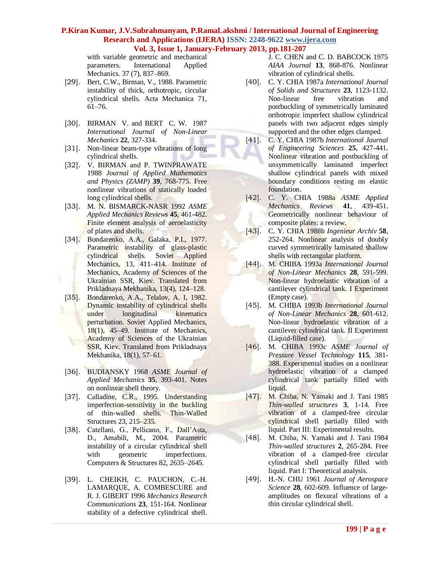with variable geometric and mechanical parameters. International Applied Mechanics. 37 (7), 837–869.

- [29]. Bert, C.W., Birman, V., 1988. Parametric instability of thick, orthotropic, circular cylindrical shells. Acta Mechanica 71, 61–76.
- [30]. BIRMAN V. and BERT C. W. 1987 *International Journal of Non-Linear Mechanics* **22**, 327-334.
- [31]. Non-linear beam-type vibrations of long cylindrical shells.
- [32]. V. BIRMAN and P. TWINPRAWATE 1988 *Journal of Applied Mathematics and Physics (ZAMP)* **39**, 768-775. Free nonlinear vibrations of statically loaded long cylindrical shells.
- [33]. M. N. BISMARCK-NASR 1992 *ASME Applied Mechanics Reviews* **45**, 461-482. Finite element analysis of aeroelasticity of plates and shells.
- [34]. Bondarenko, A.A., Galaka, P.I., 1977. Parametric instability of glass-plastic cylindrical shells. Soviet Applied Mechanics, 13, 411–414. Institute of Mechanics, Academy of Sciences of the Ukrainian SSR, Kiev. Translated from Prikladnaya Mekhanika, 13(4), 124–128.
- [35]. Bondarenko, A.A., Telalov, A. I, 1982. Dynamic instability of cylindrical shells under longitudinal kinematics perturbation. Soviet Applied Mechanics, 18(1), 45–49. Institute of Mechanics, Academy of Sciences of the Ukrainian SSR, Kiev. Translated from Prikladnaya Mekhanika, 18(1), 57–61.
- [36]. BUDIANSKY 1968 *ASME Journal of Applied Mechanics* **35**, 393-401. Notes on nonlinear shell theory.
- [37]. Calladine, C.R., 1995. Understanding imperfection-sensitivity in the buckling of thin-walled shells. Thin-Walled Structures 23, 215–235.
- [38]. Catellani, G., Pellicano, F., Dall"Asta, D., Amabili, M., 2004. Parametric instability of a circular cylindrical shell with geometric imperfections. Computers & Structures 82, 2635–2645.
- [39]. L. CHEIKH, C. PAUCHON, C.-H. LAMARQUE, A. COMBESCURE and R. J. GIBERT 1996 *Mechanics Research Communications* **23**, 151-164. Nonlinear stability of a defective cylindrical shell.

J. C. CHEN and C. D. BABCOCK 1975 *AIAA Journal* **13**, 868-876. Nonlinear vibration of cylindrical shells.

- [40]. C. Y. CHIA 1987a *International Journal of Solids and Structures* **23**, 1123-1132. Non-linear free vibration and postbuckling of symmetrically laminated orthotropic imperfect shallow cylindrical panels with two adjacent edges simply supported and the other edges clamped.
- [41]. C. Y. CHIA 1987b *International Journal of Engineering Sciences* **25**, 427-441. Nonlinear vibration and postbuckling of unsymmetrically laminated imperfect shallow cylindrical panels with mixed boundary conditions resting on elastic foundation.
- [42]. C. Y. CHIA 1988a *ASME Applied Mechanics Reviews* **41**, 439-451. Geometrically nonlinear behaviour of composite plates: a review.
- [43]. C. Y. CHIA 1988b *Ingenieur Archiv* **58**, 252-264. Nonlinear analysis of doubly curved symmetrically laminated shallow shells with rectangular platform.
- [44]. M. CHIBA 1993a *International Journal of Non-Linear Mechanics* **28**, 591-599. Non-linear hydroelastic vibration of a cantilever cylindrical tank. I Experiment (Empty case).
- [45]. M. CHIBA 1993b *International Journal of Non-Linear Mechanics* **28**, 601-612. Non-linear hydroelastic vibration of a cantilever cylindrical tank. II Experiment (Liquid-filled case).
- [46]. M. CHIBA 1993c *ASME Journal of Pressure Vessel Technology* **115**, 381- 388. Experimental studies on a nonlinear hydroelastic vibration of a clamped cylindrical tank partially filled with liquid.
- [47]. M. Chiba, N. Yamaki and J. Tani 1985 *Thin-walled structures* **3**, 1-14. Free vibration of a clamped-free circular cylindrical shell partially filled with liquid. Part III: Experimental results.
- [48]. M. Chiba, N. Yamaki and J. Tani 1984 *Thin-walled structures* **2**, 265-284. Free vibration of a clamped-free circular cylindrical shell partially filled with liquid. Part I: Theoretical analysis.
- [49]. H.-N. CHU 1961 *Journal of Aerospace Science* **28**, 602-609. Influence of largeamplitudes on flexural vibrations of a thin circular cylindrical shell.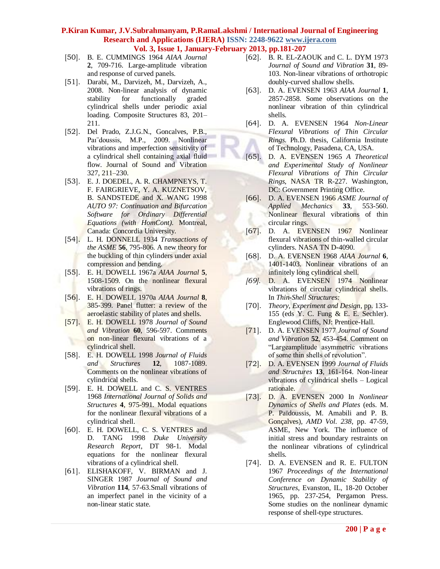- [50]. B. E. CUMMINGS 1964 *AIAA Journal*  **2**, 709-716. Large-amplitude vibration and response of curved panels.
- [51]. Darabi, M., Darvizeh, M., Darvizeh, A., 2008. Non-linear analysis of dynamic stability for functionally graded cylindrical shells under periodic axial loading. Composite Structures 83, 201– 211.
- [52]. Del Prado, Z.J.G.N., Goncalves, P.B., Paı¨doussis, M.P., 2009. Nonlinear vibrations and imperfection sensitivity of a cylindrical shell containing axial fluid flow. Journal of Sound and Vibration 327, 211–230.
- [53]. E. J. DOEDEL, A. R. CHAMPNEYS, T. F. FAIRGRIEVE, Y. A. KUZNETSOV, B. SANDSTEDE and X. WANG 1998 *AUTO 97: Continuation and Bifurcation Software for Ordinary Differential Equations (with HomCont)*. Montreal, Canada: Concordia University.
- [54]. L. H. DONNELL 1934 *Transactions of the ASME* **56**, 795-806. A new theory for the buckling of thin cylinders under axial compression and bending.
- [55]. E. H. DOWELL 1967a *AIAA Journal* **5**, 1508-1509. On the nonlinear flexural vibrations of rings.
- [56]. E. H. DOWELL 1970a *AIAA Journal* **8**, 385-399. Panel flutter: a review of the aeroelastic stability of plates and shells.
- [57]. E. H. DOWELL 1978 *Journal of Sound and Vibration* **60**, 596-597. Comments on non-linear flexural vibrations of a cylindrical shell.
- [58]. E. H. DOWELL 1998 *Journal of Fluids and Structures* **12**, 1087-1089. Comments on the nonlinear vibrations of cylindrical shells.
- [59]. E. H. DOWELL and C. S. VENTRES 1968 *International Journal of Solids and Structures* **4**, 975-991. Modal equations for the nonlinear flexural vibrations of a cylindrical shell.
- [60]. E. H. DOWELL, C. S. VENTRES and D. TANG 1998 *Duke University Research Report*, DT 98-1. Modal equations for the nonlinear flexural vibrations of a cylindrical shell.
- [61]. ELISHAKOFF, V. BIRMAN and J. SINGER 1987 *Journal of Sound and Vibration* **114**, 57-63.Small vibrations of an imperfect panel in the vicinity of a non-linear static state.
- [62]. B. R. EL-ZAOUK and C. L. DYM 1973 *Journal of Sound and Vibration* **31**, 89- 103. Non-linear vibrations of orthotropic doubly-curved shallow shells.
- [63]. D. A. EVENSEN 1963 *AIAA Journal* **1**, 2857-2858. Some observations on the nonlinear vibration of thin cylindrical shells.
- [64]. D. A. EVENSEN 1964 *Non-Linear Flexural Vibrations of Thin Circular Rings*. Ph.D. thesis, California Institute of Technology, Pasadena, CA, USA.
- [65]. D. A. EVENSEN 1965 *A Theoretical and Experimental Study of Nonlinear Flexural Vibrations of Thin Circular Rings*, NASA TR R-227. Washington, DC: Government Printing Office.
- [66]. D. A. EVENSEN 1966 *ASME Journal of Applied Mechanics* **33**, 553-560. Nonlinear flexural vibrations of thin circular rings.
- [67]. D. A. EVENSEN 1967 Nonlinear flexural vibrations of thin-walled circular cylinders. NASA TN D-4090.
- [68]. D. A. EVENSEN 1968 *AIAA Journal* **6**, 1401-1403. Nonlinear vibrations of an infinitely long cylindrical shell.
- *[69].* D. A. EVENSEN 1974 Nonlinear vibrations of circular cylindrical shells. In *Thin-Shell Structures:*
- [70]. *Theory, Experiment and Design*, pp. 133- 155 (eds Y. C. Fung & E. E. Sechler). Englewood Cliffs, NJ: Prentice-Hall.
- [71]. D. A. EVENSEN 1977 *Journal of Sound and Vibration* **52**, 453-454. Comment on "Largeamplitude asymmetric vibrations of some thin shells of revolution".
- [72]. D. A. EVENSEN 1999 *Journal of Fluids and Structures* **13**, 161-164. Non-linear vibrations of cylindrical shells – Logical rationale.
- [73]. D. A. EVENSEN 2000 In *Nonlinear Dynamics of Shells and Plates* (eds. M. P. Païdoussis, M. Amabili and P. B. Gonçalves)*, AMD Vol. 238*, pp. 47-59, ASME, New York. The influence of initial stress and boundary restraints on the nonlinear vibrations of cylindrical shells.
- [74]. D. A. EVENSEN and R. E. FULTON 1967 *Proceedings of the International Conference on Dynamic Stability of Structures*, Evanston, IL, 18-20 October 1965, pp. 237-254, Pergamon Press. Some studies on the nonlinear dynamic response of shell-type structures.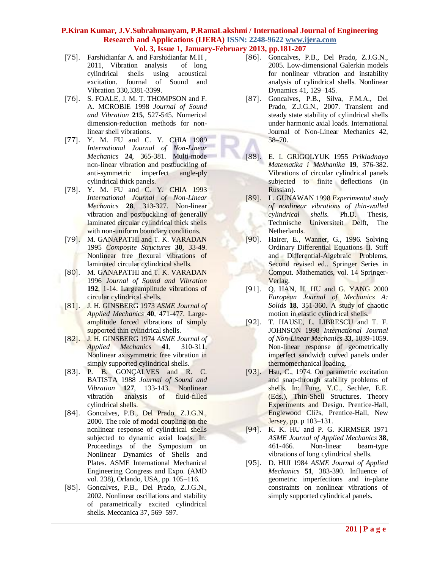- [75]. Farshidianfar A. and Farshidianfar M.H , 2011, Vibration analysis of long cylindrical shells using acoustical excitation. Journal of Sound and Vibration 330,3381-3399.
- [76]. S. FOALE, J. M. T. THOMPSON and F. A. MCROBIE 1998 *Journal of Sound and Vibration* **215**, 527-545. Numerical dimension-reduction methods for nonlinear shell vibrations.
- [77]. Y. M. FU and C. Y. CHIA 1989 *International Journal of Non-Linear Mechanics* **24**, 365-381. Multi-mode non-linear vibration and postbuckling of anti-symmetric imperfect angle-ply cylindrical thick panels.
- [78]. Y. M. FU and C. Y. CHIA 1993 *International Journal of Non-Linear Mechanics* **28**, 313-327. Non-linear vibration and postbuckling of generally laminated circular cylindrical thick shells with non-uniform boundary conditions.
- [79]. M. GANAPATHI and T. K. VARADAN 1995 *Composite Structures* **30**, 33-49. Nonlinear free flexural vibrations of laminated circular cylindrical shells.
- [80]. M. GANAPATHI and T. K. VARADAN 1996 *Journal of Sound and Vibration*  **192**, 1-14. Largeamplitude vibrations of circular cylindrical shells.
- [81]. J. H. GINSBERG 1973 *ASME Journal of Applied Mechanics* **40**, 471-477. Largeamplitude forced vibrations of simply supported thin cylindrical shells.
- [82]. J. H. GINSBERG 1974 *ASME Journal of Applied Mechanics* **41**, 310-311. Nonlinear axisymmetric free vibration in simply supported cylindrical shells.
- [83]. P. B. GONÇALVES and R. C. BATISTA 1988 *Journal of Sound and Vibration* **127**, 133-143. Nonlinear vibration analysis of fluid-filled cylindrical shells.
- [84]. Goncalves, P.B., Del Prado, Z.J.G.N., 2000. The role of modal coupling on the nonlinear response of cylindrical shells subjected to dynamic axial loads. In: Proceedings of the Symposium on Nonlinear Dynamics of Shells and Plates. ASME International Mechanical Engineering Congress and Expo. (AMD vol. 238), Orlando, USA, pp. 105–116.
- [85]. Goncalves, P.B., Del Prado, Z.J.G.N., 2002. Nonlinear oscillations and stability of parametrically excited cylindrical shells. Meccanica 37, 569–597.
- [86]. Goncalves, P.B., Del Prado, Z.J.G.N., 2005. Low-dimensional Galerkin models for nonlinear vibration and instability analysis of cylindrical shells. Nonlinear Dynamics 41, 129–145.
- [87]. Goncalves, P.B., Silva, F.M.A., Del Prado, Z.J.G.N., 2007. Transient and steady state stability of cylindrical shells under harmonic axial loads. International Journal of Non-Linear Mechanics 42, 58–70.
- [88]. E. I. GRIGOLYUK 1955 *Prikladnaya Matematika i Mekhanika* **19**, 376-382. Vibrations of circular cylindrical panels subjected to finite deflections (in Russian).
- [89]. L. GUNAWAN 1998 *Experimental study of nonlinear vibrations of thin-walled cylindrical shells*. Ph.D. Thesis, Technische Universiteit Delft, The Netherlands.
- [90]. Hairer, E., Wanner, G., 1996. Solving Ordinary Differential Equations II. Stiff and Differential-Algebraic Problems, Second revised ed.. Springer Series in Comput. Mathematics, vol. 14 Springer-Verlag.
- [91]. Q. HAN, H. HU and G. YANG 2000 *European Journal of Mechanics A: Solids* **18**, 351-360. A study of chaotic motion in elastic cylindrical shells.
- [92]. T. HAUSE, L. LIBRESCU and T. F. JOHNSON 1998 *International Journal of Non-Linear Mechanics* **33**, 1039-1059. Non-linear response of geometrically imperfect sandwich curved panels under thermomechanical loading.
- [93]. Hsu, C., 1974. On parametric excitation and snap-through stability problems of shells. In: Fung, Y.C., Sechler, E.E. (Eds.), Thin-Shell Structures. Theory Experiments and Design. Prentice-Hall, Englewood Cli?s, Prentice-Hall, New Jersey, pp. p 103–131.
- [94]. K. K. HU and P. G. KIRMSER 1971 *ASME Journal of Applied Mechanics* **38**, 461-466. Non-linear beam-type vibrations of long cylindrical shells.
- [95]. D. HUI 1984 *ASME Journal of Applied Mechanics* **51**, 383-390. Influence of geometric imperfections and in-plane constraints on nonlinear vibrations of simply supported cylindrical panels.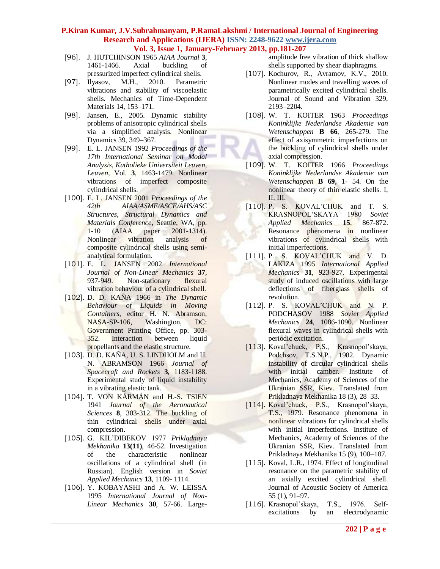- [96]. J. HUTCHINSON 1965 *AIAA Journal* **3**, 1461-1466. Axial buckling of pressurized imperfect cylindrical shells.
- [97]. Ilyasov, M.H., 2010. Parametric vibrations and stability of viscoelastic shells. Mechanics of Time-Dependent Materials 14, 153–171.
- [98]. Jansen, E., 2005. Dynamic stability problems of anisotropic cylindrical shells via a simplified analysis. Nonlinear Dynamics 39, 349–367.
- [99]. E. L. JANSEN 1992 *Proceedings of the 17th International Seminar on Modal Analysis, Katholieke Universiteit Leuven, Leuven*, Vol. **3**, 1463-1479. Nonlinear vibrations of imperfect composite cylindrical shells.
- [100]. E. L. JANSEN 2001 *Proceedings of the 42th AIAA/ASME/ASCE/AHS/ASC Structures, Structural Dynamics and Materials Conference*, Seattle, WA, pp. 1-10 (AIAA paper 2001-1314). Nonlinear vibration analysis of composite cylindrical shells using semianalytical formulation.
- [101]. E. L. JANSEN 2002 *International Journal of Non-Linear Mechanics* **37**, 937-949. Non-stationary flexural vibration behaviour of a cylindrical shell.
- [102]. D. D. KAÑA 1966 in *The Dynamic Behaviour of Liquids in Moving Containers*, editor H. N. Abramson, NASA-SP-106, Washington, DC: Government Printing Office, pp. 303- 352. Interaction between liquid propellants and the elastic structure.
- [103]. D. D. KAÑA, U. S. LINDHOLM and H. N. ABRAMSON 1966 *Journal of Spacecraft and Rockets* **3**, 1183-1188. Experimental study of liquid instability in a vibrating elastic tank.
- [104]. T. VON KÁRMÁN and H.-S. TSIEN 1941 *Journal of the Aeronautical Sciences* **8**, 303-312. The buckling of thin cylindrical shells under axial compression.
- [105]. G. KIL"DIBEKOV 1977 *Prikladnaya Mekhanika* **13(11)**, 46-52. Investigation of the characteristic nonlinear oscillations of a cylindrical shell (in Russian). English version in *Soviet Applied Mechanics* **13**, 1109- 1114.
- [106]. Y. KOBAYASHI and A. W. LEISSA 1995 *International Journal of Non-Linear Mechanics* **30**, 57-66. Large-

amplitude free vibration of thick shallow shells supported by shear diaphragms.

- [107]. Kochurov, R., Avramov, K.V., 2010. Nonlinear modes and travelling waves of parametrically excited cylindrical shells. Journal of Sound and Vibration 329, 2193–2204.
- [108]. W. T. KOITER 1963 *Proceedings Koninklijke Nederlandse Akademie van Wetenschappen* **B 66**, 265-279. The effect of axisymmetric imperfections on the buckling of cylindrical shells under axial compression.
- [109]. W. T. KOITER 1966 *Proceedings Koninklijke Nederlandse Akademie van Wetenschappen* **B 69**, 1- 54. On the nonlinear theory of thin elastic shells. I, II, III.
- [110]. P. S. KOVAL'CHUK and T. S. KRASNOPOL"SKAYA 1980 *Soviet Applied Mechanics* **15**, 867-872. Resonance phenomena in nonlinear vibrations of cylindrical shells with initial imperfections.
- [111]. P. S. KOVAL'CHUK and V. D. LAKIZA 1995 *International Applied Mechanics* **31**, 923-927. Experimental study of induced oscillations with large deflections of fiberglass shells of revolution.
- [112]. P. S. KOVAL'CHUK and N. P. PODCHASOV 1988 *Soviet Applied Mechanics* **24**, 1086-1090. Nonlinear flexural waves in cylindrical shells with periodic excitation.
- [113]. Koval'chuck, P.S., Krasnopol'skaya, Podchsov, T.S.N.P., 1982. Dynamic instability of circular cylindrical shells with initial camber. Institute of Mechanics, Academy of Sciences of the Ukranian SSR, Kiev. Translated from Prikladnaya Mekhanika 18 (3), 28–33.
- [114]. Koval'chuck, P.S., Krasnopol'skaya, T.S., 1979. Resonance phenomena in nonlinear vibrations for cylindrical shells with initial imperfections. Institute of Mechanics, Academy of Sciences of the Ukranian SSR, Kiev. Translated from Prikladnaya Mekhanika 15 (9), 100–107.
- [115]. Koval, L.R., 1974. Effect of longitudinal resonance on the parametric stability of an axially excited cylindrical shell. Journal of Acoustic Society of America 55 (1), 91–97.
- [116]. Krasnopol"skaya, T.S., 1976. Selfexcitations by an electrodynamic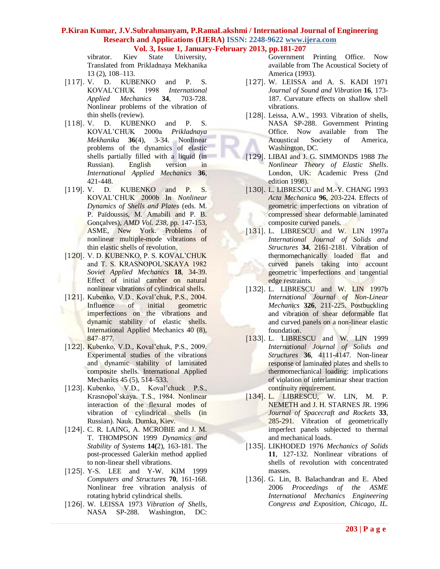vibrator. Kiev State University, Translated from Prikladnaya Mekhanika 13 (2), 108–113.

- [117]. V. D. KUBENKO and P. S. KOVAL"CHUK 1998 *International Applied Mechanics* **34***,* 703-728. Nonlinear problems of the vibration of thin shells (review).
- [118]. V. D. KUBENKO and P. S. KOVAL"CHUK 2000a *Prikladnaya Mekhanika* **36**(4), 3-34. Nonlinear problems of the dynamics of elastic shells partially filled with a liquid (in Russian). English version in *International Applied Mechanics* **36**,  $421-448.$  [119]. V. D.
- KUBENKO and P. S. KOVAL"CHUK 2000b In *Nonlinear Dynamics of Shells and Plates* (eds. M. P. Païdoussis, M. Amabili and P. B. Gonçalves)*, AMD Vol. 238*, pp. 147-153, ASME, New York. Problems of nonlinear multiple-mode vibrations of thin elastic shells of revolution.
- [120]. V. D. KUBENKO, P. S. KOVAL'CHUK and T. S. KRASNOPOL"SKAYA 1982 *Soviet Applied Mechanics* **18**, 34-39. Effect of initial camber on natural nonlinear vibrations of cylindrical shells.
- [121]. Kubenko, V.D., Koval"chuk, P.S., 2004. Influence of initial geometric imperfections on the vibrations and dynamic stability of elastic shells. International Applied Mechanics 40 (8), 847–877.
- [122]. Kubenko, V.D., Koval"chuk, P.S., 2009. Experimental studies of the vibrations and dynamic stability of laminated composite shells. International Applied Mechanics 45 (5), 514–533.
- [123]. Kubenko, V.D., Koval"chuck P.S., Krasnopol"skaya. T.S., 1984. Nonlinear interaction of the flexural modes of vibration of cylindrical shells (in Russian). Nauk. Dumka, Kiev.
- [124]. C. R. LAING, A. MCROBIE and J. M. T. THOMPSON 1999 *Dynamics and Stability of Systems* **14(**2), 163-181. The post-processed Galerkin method applied to non-linear shell vibrations.
- [125]. Y-S. LEE and Y-W. KIM 1999 *Computers and Structures* **70**, 161-168. Nonlinear free vibration analysis of rotating hybrid cylindrical shells.
- [126]. W. LEISSA 1973 *Vibration of Shells*, NASA SP-288. Washington, DC:

Government Printing Office. Now available from The Acoustical Society of America (1993).

- [127]. W. LEISSA and A. S. KADI 1971 *Journal of Sound and Vibration* **16**, 173- 187. Curvature effects on shallow shell vibrations.
- [128]. Leissa, A.W., 1993. Vibration of shells, NASA SP-288. Government Printing Office. Now available from The Acoustical Society of America, Washington, DC.
- [129]. LIBAI and J. G. SIMMONDS 1988 *The Nonlinear Theory of Elastic Shells*. London, UK: Academic Press (2nd edition 1998).
- [130]. L. LIBRESCU and M.-Y. CHANG 1993 *Acta Mechanica* **96**, 203-224. Effects of geometric imperfections on vibration of compressed shear deformable laminated composite curved panels.
- [131]. L. LIBRESCU and W. LIN 1997a *International Journal of Solids and Structures* **34**, 2161-2181. Vibration of thermomechanically loaded flat and curved panels taking into account geometric imperfections and tangential edge restraints.
- [132]. L. LIBRESCU and W. LIN 1997b *International Journal of Non-Linear Mechanics* **326**, 211-225. Postbuckling and vibration of shear deformable flat and curved panels on a non-linear elastic foundation.
- [133]. L. LIBRESCU and W. LIN 1999 *International Journal of Solids and Structures* **36**, 4111-4147. Non-linear response of laminated plates and shells to thermomechanical loading: implications of violation of interlaminar shear traction continuity requirement.
- [134]. L. LIBRESCU, W. LIN, M. P. NEMETH and J. H. STARNES JR. 1996 *Journal of Spacecraft and Rockets* **33**, 285-291. Vibration of geometrically imperfect panels subjected to thermal and mechanical loads.
- [135]. LIKHODED 1976 *Mechanics of Solids*  **11**, 127-132. Nonlinear vibrations of shells of revolution with concentrated masses.
- [136]. G. Lin, B. Balachandran and E. Abed 2006 *Proceedings of the ASME International Mechanics Engineering Congress and Exposition, Chicago, IL.*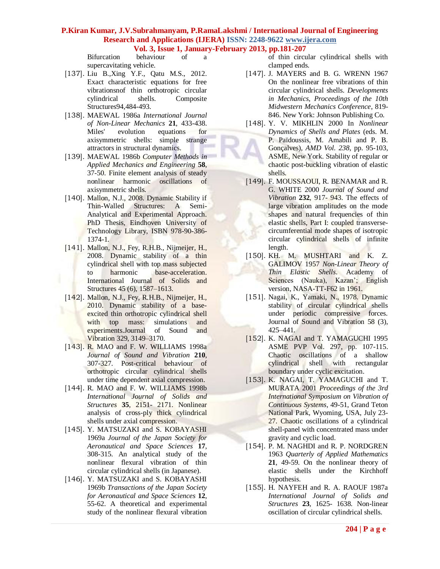Bifurcation behaviour of a supercavitating vehicle.

- [137]. Liu B.,Xing Y.F., Qatu M.S., 2012. Exact characteristic equations for free vibrationsnof thin orthotropic circular cylindrical shells. Composite Structures94,484-493.
- [138]. MAEWAL 1986a *International Journal of Non-Linear Mechanics* **21**, 433-438. Miles' evolution equations for axisymmetric shells: simple strange attractors in structural dynamics.
- [139]. MAEWAL 1986b *Computer Methods in Applied Mechanics and Engineering* **58**, 37-50. Finite element analysis of steady nonlinear harmonic oscillations of axisymmetric shells.
- [140]. Mallon, N.J., 2008. Dynamic Stability if Thin-Walled Structures: A Semi-Analytical and Experimental Approach. PhD Thesis, Eindhoven University of Technology Library, ISBN 978-90-386- 1374-1.
- [141]. Mallon, N.J., Fey, R.H.B., Nijmeijer, H., 2008. Dynamic stability of a thin cylindrical shell with top mass subjected to harmonic base-acceleration. International Journal of Solids and Structures 45 (6), 1587–1613.
- [142]. Mallon, N.J., Fey, R.H.B., Nijmeijer, H., 2010. Dynamic stability of a baseexcited thin orthotropic cylindrical shell with top mass: simulations and experiments.Journal of Sound and Vibration 329, 3149–3170.
- [143]. R. MAO and F. W. WILLIAMS 1998a *Journal of Sound and Vibration* **210**, 307-327. Post-critical behaviour of orthotropic circular cylindrical shells under time dependent axial compression.
- [144]. R. MAO and F. W. WILLIAMS 1998b *International Journal of Solids and Structures* **35**, 2151- 2171. Nonlinear analysis of cross-ply thick cylindrical shells under axial compression.
- [145]. Y. MATSUZAKI and S. KOBAYASHI 1969a *Journal of the Japan Society for Aeronautical and Space Sciences* **17**, 308-315. An analytical study of the nonlinear flexural vibration of thin circular cylindrical shells (in Japanese).
- [146]. Y. MATSUZAKI and S. KOBAYASHI 1969b *Transactions of the Japan Society for Aeronautical and Space Sciences* **12**, 55-62. A theoretical and experimental study of the nonlinear flexural vibration

of thin circular cylindrical shells with clamped ends.

- [147]. J. MAYERS and B. G. WRENN 1967 On the nonlinear free vibrations of thin circular cylindrical shells. *Developments in Mechanics, Proceedings of the 10th Midwestern Mechanics Conference*, 819- 846. New York: Johnson Publishing Co.
- [148]. Y. V. MIKHLIN 2000 In *Nonlinear Dynamics of Shells and Plates* (eds. M. P. Païdoussis, M. Amabili and P. B. Gonçalves)*, AMD Vol. 238*, pp. 95-103, ASME, New York. Stability of regular or chaotic post-buckling vibration of elastic shells.
- [149]. F. MOUSSAOUI, R. BENAMAR and R. G. WHITE 2000 *Journal of Sound and Vibration* **232**, 917- 943. The effects of large vibration amplitudes on the mode shapes and natural frequencies of thin elastic shells, Part I: coupled transversecircumferential mode shapes of isotropic circular cylindrical shells of infinite length.
- [150]. KH. M. MUSHTARI and K. Z. GALIMOV 1957 *Non-Linear Theory of Thin Elastic Shells*. Academy of Sciences (Nauka), Kazan'; English version, NASA-TT-F62 in 1961.
- [151]. Nagai, K., Yamaki, N., 1978. Dynamic stability of circular cylindrical shells under periodic compressive forces. Journal of Sound and Vibration 58 (3), 425–441.
- [152]. K. NAGAI and T. YAMAGUCHI 1995 ASME PVP Vol. 297, pp. 107-115. Chaotic oscillations of a shallow cylindrical shell with rectangular boundary under cyclic excitation.
- [153]. K. NAGAI, T. YAMAGUCHI and T. MURATA 2001 *Proceedings of the 3rd International Symposium on Vibration of Continuous Systems*, 49-51, Grand Teton National Park, Wyoming, USA, July 23- 27. Chaotic oscillations of a cylindrical shell-panel with concentrated mass under gravity and cyclic load.
- [154]. P. M. NAGHDI and R. P. NORDGREN 1963 *Quarterly of Applied Mathematics*  **21**, 49-59. On the nonlinear theory of elastic shells under the Kirchhoff hypothesis.
- [155]. H. NAYFEH and R. A. RAOUF 1987a *International Journal of Solids and Structures* **23**, 1625- 1638. Non-linear oscillation of circular cylindrical shells.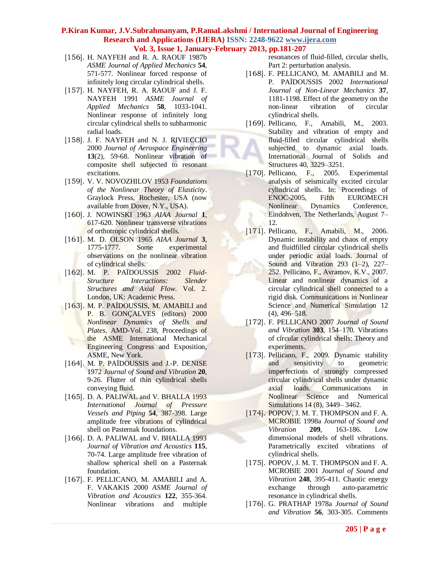- [156]. H. NAYFEH and R. A. RAOUF 1987b *ASME Journal of Applied Mechanics* **54**, 571-577. Nonlinear forced response of infinitely long circular cylindrical shells.
- [157]. H. NAYFEH, R. A. RAOUF and J. F. NAYFEH 1991 *ASME Journal of Applied Mechanics* **58**, 1033-1041. Nonlinear response of infinitely long circular cylindrical shells to subharmonic radial loads.
- [158]. J. F. NAYFEH and N. J. RIVIECCIO 2000 *Journal of Aerospace Engineering*  **13**(2), 59-68. Nonlinear vibration of composite shell subjected to resonant excitations.
- [159]. V. V. NOVOZHILOV 1953 *Foundations of the Nonlinear Theory of Elasticity*. Graylock Press, Rochester, USA (now available from Dover, N.Y., USA).
- [160]. J. NOWINSKI 1963 *AIAA Journal* **1**, 617-620. Nonlinear transverse vibrations of orthotropic cylindrical shells.
- [161]. M. D. OLSON 1965 *AIAA Journal* **3**, 1775-1777. Some experimental observations on the nonlinear vibration of cylindrical shells.
- [162]. M. P. PAÏDOUSSIS 2002 *Fluid-Structure Interactions: Slender Structures and Axial Flow*. Vol. 2. London, UK: Academic Press.
- [163]. M. P. PAÏDOUSSIS, M. AMABILI and P. B. GONÇALVES (editors) 2000 *Nonlinear Dynamics of Shells and Plates*, AMD-Vol. 238, Proceedings of the ASME International Mechanical Engineering Congress and Exposition, ASME, New York.
- [164]. M. P. PAÏDOUSSIS and J.-P. DENISE 1972 *Journal of Sound and Vibration* **20**, 9-26. Flutter of thin cylindrical shells conveying fluid.
- [165]. D. A. PALIWAL and V. BHALLA 1993] *International Journal of Pressure Vessels and Piping* **54**, 387-398. Large amplitude free vibrations of cylindrical shell on Pasternak foundations.
- [166]. D. A. PALIWAL and V. BHALLA 1993 *Journal of Vibration and Acoustics* **115**, 70-74. Large amplitude free vibration of shallow spherical shell on a Pasternak foundation.
- [167]. F. PELLICANO, M. AMABILI and A. F. VAKAKIS 2000 *ASME Journal of Vibration and Acoustics* **122**, 355-364. Nonlinear vibrations and multiple

resonances of fluid-filled, circular shells, Part 2: perturbation analysis.

- [168]. F. PELLICANO, M. AMABILI and M. P. PAÏDOUSSIS 2002 *International Journal of Non-Linear Mechanics* **37**, 1181-1198. Effect of the geometry on the non-linear vibration of circular cylindrical shells.
- [169]. Pellicano, F., Amabili, M., 2003. Stability and vibration of empty and fluid-filled circular cylindrical shells subjected to dynamic axial loads. International Journal of Solids and Structures 40, 3229–3251.
- [170]. Pellicano, F., 2005. Experimental analysis of seismically excited circular cylindrical shells. In: Proceedings of ENOC-2005, Fifth EUROMECH Nonlinear Dynamics Conference, Eindohven, The Netherlands, August 7– 12.
- [171]. Pellicano, F., Amabili, M., 2006. Dynamic instability and chaos of empty and fluidfilled circular cylindrical shells under periodic axial loads. Journal of Sound and Vibration 293 (1–2), 227– 252. Pellicano, F., Avramov, K.V., 2007. Linear and nonlinear dynamics of a circular cylindrical shell connected to a rigid disk. Communications in Nonlinear Science and Numerical Simulation 12 (4), 496–518.
- [172]. F. PELLICANO 2007 *Journal of Sound and Vibration* **303**, 154–170. Vibrations of circular cylindrical shells: Theory and experiments.
- [173]. Pellicano, F., 2009. Dynamic stability and sensitivity to geometric imperfections of strongly compressed circular cylindrical shells under dynamic axial loads. Communications in Nonlinear Science and Numerical Simulations 14 (8), 3449– 3462.
- [174]. POPOV, J. M. T. THOMPSON and F. A. MCROBIE 1998a *Journal of Sound and Vibration* **209**, 163-186. Low dimensional models of shell vibrations. Parametrically excited vibrations of cylindrical shells.
- [175]. POPOV, J. M. T. THOMPSON and F. A. MCROBIE 2001 *Journal of Sound and Vibration* **248**, 395-411. Chaotic energy exchange through auto-parametric resonance in cylindrical shells.
- [176]. G. PRATHAP 1978a *Journal of Sound and Vibration* **56**, 303-305. Comments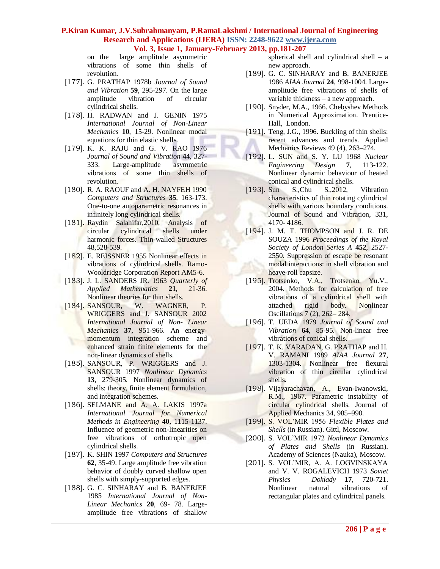on the large amplitude asymmetric vibrations of some thin shells of revolution.

- [177]. G. PRATHAP 1978b *Journal of Sound and Vibration* **59**, 295-297. On the large amplitude vibration of circular cylindrical shells.
- [178]. H. RADWAN and J. GENIN 1975 *International Journal of Non-Linear Mechanics* **10**, 15-29. Nonlinear modal equations for thin elastic shells.
- [179]. K. K. RAJU and G. V. RAO 1976 *Journal of Sound and Vibration* **44**, 327- 333. Large-amplitude asymmetric vibrations of some thin shells of revolution.
- [180]. R. A. RAOUF and A. H. NAYFEH 1990 *Computers and Structures* **35**, 163-173. One-to-one autoparametric resonances in infinitely long cylindrical shells.
- [181]. Raydin Salahifar, 2010, Analysis of circular cylindrical shells under harmonic forces. Thin-walled Structures 48,528-539.
- [182]. E. REISSNER 1955 Nonlinear effects in vibrations of cylindrical shells. Ramo-Wooldridge Corporation Report AM5-6.
- [183]. J. L. SANDERS JR. 1963 *Quarterly of Applied Mathematics* **21**, 21-36. Nonlinear theories for thin shells.
- [184]. SANSOUR, W. WAGNER, P. WRIGGERS and J. SANSOUR 2002 *International Journal of Non- Linear Mechanics* **37**, 951-966. An energymomentum integration scheme and enhanced strain finite elements for the non-linear dynamics of shells.
- [185]. SANSOUR, P. WRIGGERS and J. SANSOUR 1997 *Nonlinear Dynamics*  **13**, 279-305. Nonlinear dynamics of shells: theory, finite element formulation, and integration schemes.
- [186]. SELMANE and A. A. LAKIS 1997a *International Journal for Numerical Methods in Engineering* **40**, 1115-1137. Influence of geometric non-linearities on free vibrations of orthotropic open cylindrical shells.
- [187]. K. SHIN 1997 *Computers and Structures*  **62**, 35-49. Large amplitude free vibration behavior of doubly curved shallow open shells with simply-supported edges.
- [188]. G. C. SINHARAY and B. BANERJEE 1985 *International Journal of Non-Linear Mechanics* **20**, 69- 78. Largeamplitude free vibrations of shallow

spherical shell and cylindrical shell – a new approach.

- [189]. G. C. SINHARAY and B. BANERJEE 1986 *AIAA Journal* **24**, 998-1004. Largeamplitude free vibrations of shells of variable thickness – a new approach.
- [190]. Snyder, M.A., 1966. Chebyshev Methods in Numerical Approximation. Prentice-Hall, London.
- [191]. Teng, J.G., 1996. Buckling of thin shells: recent advances and trends. Applied Mechanics Reviews 49 (4), 263–274.
- [192]. L. SUN and S. Y. LU 1968 *Nuclear Engineering Design* **7**, 113-122. Nonlinear dynamic behaviour of heated conical and cylindrical shells.
- [193]. Sun S.,Chu S.,2012, Vibration characteristics of thin rotating cylindrical shells with various boundary conditions. Journal of Sound and Vibration, 331, 4170- 4186.
- [194]. J. M. T. THOMPSON and J. R. DE SOUZA 1996 *Proceedings of the Royal Society of London Series A* **452**, 2527- 2550. Suppression of escape be resonant modal interactions: in shell vibration and heave-roll capsize.
- [195]. Trotsenko, V.A., Trotsenko, Yu.V., 2004. Methods for calculation of free vibrations of a cylindrical shell with attached rigid body. Nonlinear Oscillations 7 (2), 262– 284.
- [196]. T. UEDA 1979 *Journal of Sound and Vibration* **64**, 85-95. Non-linear free vibrations of conical shells.
- [197]. T. K. VARADAN, G. PRATHAP and H. V. RAMANI 1989 *AIAA Journal* **27**, 1303-1304. Nonlinear free flexural vibration of thin circular cylindrical shells.
- [198]. Vijayarachavan, A., Evan-Iwanowski, R.M., 1967. Parametric instability of circular cylindrical shells. Journal of Applied Mechanics 34, 985–990.
- [199]. S. VOL"MIR 1956 *Flexible Plates and Shells* (in Russian). Gittl, Moscow.
- [200]. S. VOL"MIR 1972 *Nonlinear Dynamics of Plates and Shells* (in Russian). Academy of Sciences (Nauka), Moscow.
- [201]. S. VOL"MIR, A. A. LOGVINSKAYA and V. V. ROGALEVICH 1973 *Soviet Physics – Doklady* **17**, 720-721. Nonlinear natural vibrations of rectangular plates and cylindrical panels.